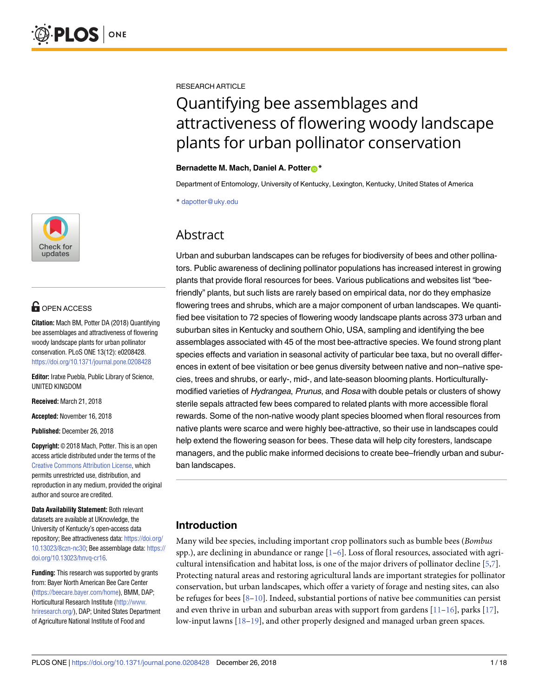

# **OPEN ACCESS**

**Citation:** Mach BM, Potter DA (2018) Quantifying bee assemblages and attractiveness of flowering woody landscape plants for urban pollinator conservation. PLoS ONE 13(12): e0208428. <https://doi.org/10.1371/journal.pone.0208428>

**Editor:** Iratxe Puebla, Public Library of Science, UNITED KINGDOM

**Received:** March 21, 2018

**Accepted:** November 16, 2018

**Published:** December 26, 2018

**Copyright:** © 2018 Mach, Potter. This is an open access article distributed under the terms of the Creative Commons [Attribution](http://creativecommons.org/licenses/by/4.0/) License, which permits unrestricted use, distribution, and reproduction in any medium, provided the original author and source are credited.

**Data Availability Statement:** Both relevant datasets are available at UKnowledge, the University of Kentucky's open-access data repository; Bee attractiveness data: [https://doi.org/](https://doi.org/10.13023/8czn-nc30) [10.13023/8czn-nc30](https://doi.org/10.13023/8czn-nc30); Bee assemblage data: [https://](https://doi.org/10.13023/hnvq-cr16) [doi.org/10.13023/hnvq-cr16.](https://doi.org/10.13023/hnvq-cr16)

**Funding:** This research was supported by grants from: Bayer North American Bee Care Center [\(https://beecare.bayer.com/home\)](https://beecare.bayer.com/home), BMM, DAP; Horticultural Research Institute [\(http://www.](http://www.hriresearch.org/) [hriresearch.org/](http://www.hriresearch.org/)), DAP; United States Department of Agriculture National Institute of Food and

<span id="page-0-0"></span>RESEARCH ARTICLE

# Quantifying bee assemblages and attractiveness of flowering woody landscape plants for urban pollinator conservation

## **Bernadette M. Mach, Daniel A. Potter**<sup>\*</sup>

Department of Entomology, University of Kentucky, Lexington, Kentucky, United States of America

\* dapotter@uky.edu

# **Abstract**

Urban and suburban landscapes can be refuges for biodiversity of bees and other pollinators. Public awareness of declining pollinator populations has increased interest in growing plants that provide floral resources for bees. Various publications and websites list "beefriendly" plants, but such lists are rarely based on empirical data, nor do they emphasize flowering trees and shrubs, which are a major component of urban landscapes. We quantified bee visitation to 72 species of flowering woody landscape plants across 373 urban and suburban sites in Kentucky and southern Ohio, USA, sampling and identifying the bee assemblages associated with 45 of the most bee-attractive species. We found strong plant species effects and variation in seasonal activity of particular bee taxa, but no overall differences in extent of bee visitation or bee genus diversity between native and non–native species, trees and shrubs, or early-, mid-, and late-season blooming plants. Horticulturallymodified varieties of Hydrangea, Prunus, and Rosa with double petals or clusters of showy sterile sepals attracted few bees compared to related plants with more accessible floral rewards. Some of the non-native woody plant species bloomed when floral resources from native plants were scarce and were highly bee-attractive, so their use in landscapes could help extend the flowering season for bees. These data will help city foresters, landscape managers, and the public make informed decisions to create bee–friendly urban and suburban landscapes.

# **Introduction**

Many wild bee species, including important crop pollinators such as bumble bees (*Bombus* spp.), are declining in abundance or range  $[1-6]$ . Loss of floral resources, associated with agricultural intensification and habitat loss, is one of the major drivers of pollinator decline [\[5,7](#page-14-0)]. Protecting natural areas and restoring agricultural lands are important strategies for pollinator conservation, but urban landscapes, which offer a variety of forage and nesting sites, can also be refuges for bees  $[8-10]$ . Indeed, substantial portions of native bee communities can persist and even thrive in urban and suburban areas with support from gardens  $[11-16]$ , parks  $[17]$ , low-input lawns [\[18](#page-15-0)–[19](#page-15-0)], and other properly designed and managed urban green spaces.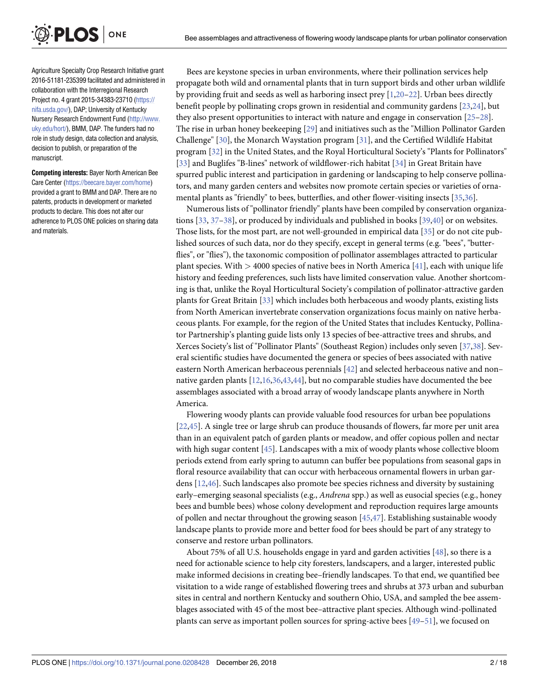<span id="page-1-0"></span>**PLOS** ONE Agriculture Specialty Crop Research Initiative grant 2016-51181-235399 facilitated and administered in collaboration with the Interregional Research

Project no. 4 grant 2015-34383-23710 ([https://](https://nifa.usda.gov/) [nifa.usda.gov/\)](https://nifa.usda.gov/), DAP; University of Kentucky Nursery Research Endowment Fund [\(http://www.](http://www.uky.edu/hort/) [uky.edu/hort/](http://www.uky.edu/hort/)), BMM, DAP. The funders had no role in study design, data collection and analysis, decision to publish, or preparation of the manuscript.

**Competing interests:** Bayer North American Bee Care Center ([https://beecare.bayer.com/home\)](https://beecare.bayer.com/home) provided a grant to BMM and DAP. There are no patents, products in development or marketed products to declare. This does not alter our adherence to PLOS ONE policies on sharing data and materials.

Bees are keystone species in urban environments, where their pollination services help propagate both wild and ornamental plants that in turn support birds and other urban wildlife by providing fruit and seeds as well as harboring insect prey  $[1,20-22]$  $[1,20-22]$  $[1,20-22]$  $[1,20-22]$  $[1,20-22]$ . Urban bees directly benefit people by pollinating crops grown in residential and community gardens [\[23,24](#page-15-0)], but they also present opportunities to interact with nature and engage in conservation [[25–28\]](#page-15-0). The rise in urban honey beekeeping [\[29\]](#page-15-0) and initiatives such as the "Million Pollinator Garden Challenge" [[30](#page-15-0)], the Monarch Waystation program [\[31\]](#page-15-0), and the Certified Wildlife Habitat program [\[32\]](#page-15-0) in the United States, and the Royal Horticultural Society's "Plants for Pollinators" [\[33\]](#page-15-0) and Buglifes "B-lines" network of wildflower-rich habitat [[34](#page-15-0)] in Great Britain have spurred public interest and participation in gardening or landscaping to help conserve pollinators, and many garden centers and websites now promote certain species or varieties of ornamental plants as "friendly" to bees, butterflies, and other flower-visiting insects [\[35](#page-15-0),[36](#page-15-0)].

Numerous lists of "pollinator friendly" plants have been compiled by conservation organizations [\[33,](#page-15-0) [37–38\]](#page-15-0), or produced by individuals and published in books [\[39,40\]](#page-15-0) or on websites. Those lists, for the most part, are not well-grounded in empirical data [\[35\]](#page-15-0) or do not cite published sources of such data, nor do they specify, except in general terms (e.g. "bees", "butterflies", or "flies"), the taxonomic composition of pollinator assemblages attracted to particular plant species. With *>* 4000 species of native bees in North America [[41](#page-15-0)], each with unique life history and feeding preferences, such lists have limited conservation value. Another shortcoming is that, unlike the Royal Horticultural Society's compilation of pollinator-attractive garden plants for Great Britain [\[33\]](#page-15-0) which includes both herbaceous and woody plants, existing lists from North American invertebrate conservation organizations focus mainly on native herbaceous plants. For example, for the region of the United States that includes Kentucky, Pollinator Partnership's planting guide lists only 13 species of bee-attractive trees and shrubs, and Xerces Society's list of "Pollinator Plants" (Southeast Region) includes only seven [\[37,38\]](#page-15-0). Several scientific studies have documented the genera or species of bees associated with native eastern North American herbaceous perennials [[42](#page-15-0)] and selected herbaceous native and non– native garden plants [\[12,16](#page-14-0),[36](#page-15-0)[,43,44\]](#page-16-0), but no comparable studies have documented the bee assemblages associated with a broad array of woody landscape plants anywhere in North America.

Flowering woody plants can provide valuable food resources for urban bee populations [\[22](#page-15-0)[,45\]](#page-16-0). A single tree or large shrub can produce thousands of flowers, far more per unit area than in an equivalent patch of garden plants or meadow, and offer copious pollen and nectar with high sugar content [[45](#page-16-0)]. Landscapes with a mix of woody plants whose collective bloom periods extend from early spring to autumn can buffer bee populations from seasonal gaps in floral resource availability that can occur with herbaceous ornamental flowers in urban gardens [\[12,](#page-14-0)[46](#page-16-0)]. Such landscapes also promote bee species richness and diversity by sustaining early–emerging seasonal specialists (e.g., *Andrena* spp.) as well as eusocial species (e.g., honey bees and bumble bees) whose colony development and reproduction requires large amounts of pollen and nectar throughout the growing season [\[45,47\]](#page-16-0). Establishing sustainable woody landscape plants to provide more and better food for bees should be part of any strategy to conserve and restore urban pollinators.

About 75% of all U.S. households engage in yard and garden activities [[48](#page-16-0)], so there is a need for actionable science to help city foresters, landscapers, and a larger, interested public make informed decisions in creating bee–friendly landscapes. To that end, we quantified bee visitation to a wide range of established flowering trees and shrubs at 373 urban and suburban sites in central and northern Kentucky and southern Ohio, USA, and sampled the bee assemblages associated with 45 of the most bee–attractive plant species. Although wind-pollinated plants can serve as important pollen sources for spring-active bees [[49–51\]](#page-16-0), we focused on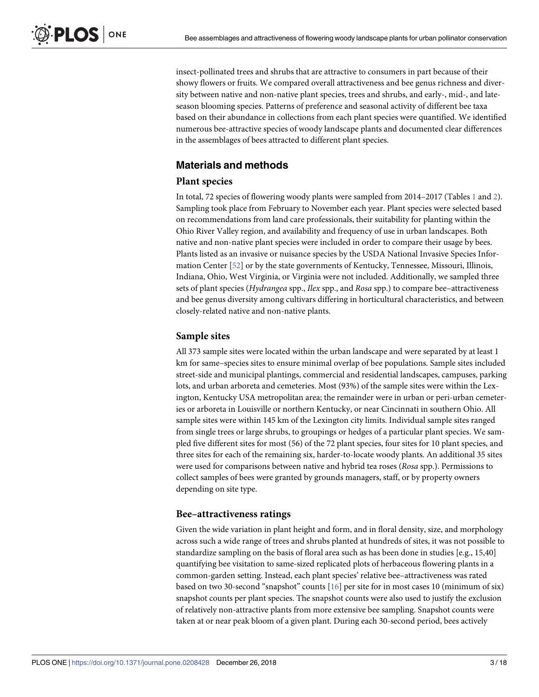<span id="page-2-0"></span>insect-pollinated trees and shrubs that are attractive to consumers in part because of their showy flowers or fruits. We compared overall attractiveness and bee genus richness and diversity between native and non-native plant species, trees and shrubs, and early-, mid-, and lateseason blooming species. Patterns of preference and seasonal activity of different bee taxa based on their abundance in collections from each plant species were quantified. We identified numerous bee-attractive species of woody landscape plants and documented clear differences in the assemblages of bees attracted to different plant species.

# **Materials and methods**

# **Plant species**

In total, 72 species of flowering woody plants were sampled from 2014–2017 (Tables [1](#page-3-0) and [2](#page-4-0)). Sampling took place from February to November each year. Plant species were selected based on recommendations from land care professionals, their suitability for planting within the Ohio River Valley region, and availability and frequency of use in urban landscapes. Both native and non-native plant species were included in order to compare their usage by bees. Plants listed as an invasive or nuisance species by the USDA National Invasive Species Information Center [[52](#page-16-0)] or by the state governments of Kentucky, Tennessee, Missouri, Illinois, Indiana, Ohio, West Virginia, or Virginia were not included. Additionally, we sampled three sets of plant species (*Hydrangea* spp., *Ilex* spp., and *Rosa* spp.) to compare bee–attractiveness and bee genus diversity among cultivars differing in horticultural characteristics, and between closely-related native and non-native plants.

# **Sample sites**

All 373 sample sites were located within the urban landscape and were separated by at least 1 km for same–species sites to ensure minimal overlap of bee populations. Sample sites included street-side and municipal plantings, commercial and residential landscapes, campuses, parking lots, and urban arboreta and cemeteries. Most (93%) of the sample sites were within the Lexington, Kentucky USA metropolitan area; the remainder were in urban or peri-urban cemeteries or arboreta in Louisville or northern Kentucky, or near Cincinnati in southern Ohio. All sample sites were within 145 km of the Lexington city limits. Individual sample sites ranged from single trees or large shrubs, to groupings or hedges of a particular plant species. We sampled five different sites for most (56) of the 72 plant species, four sites for 10 plant species, and three sites for each of the remaining six, harder-to-locate woody plants. An additional 35 sites were used for comparisons between native and hybrid tea roses (*Rosa* spp.). Permissions to collect samples of bees were granted by grounds managers, staff, or by property owners depending on site type.

## **Bee–attractiveness ratings**

Given the wide variation in plant height and form, and in floral density, size, and morphology across such a wide range of trees and shrubs planted at hundreds of sites, it was not possible to standardize sampling on the basis of floral area such as has been done in studies [e.g., 15,40] quantifying bee visitation to same-sized replicated plots of herbaceous flowering plants in a common-garden setting. Instead, each plant species' relative bee–attractiveness was rated based on two 30-second "snapshot" counts [[16](#page-14-0)] per site for in most cases 10 (minimum of six) snapshot counts per plant species. The snapshot counts were also used to justify the exclusion of relatively non-attractive plants from more extensive bee sampling. Snapshot counts were taken at or near peak bloom of a given plant. During each 30-second period, bees actively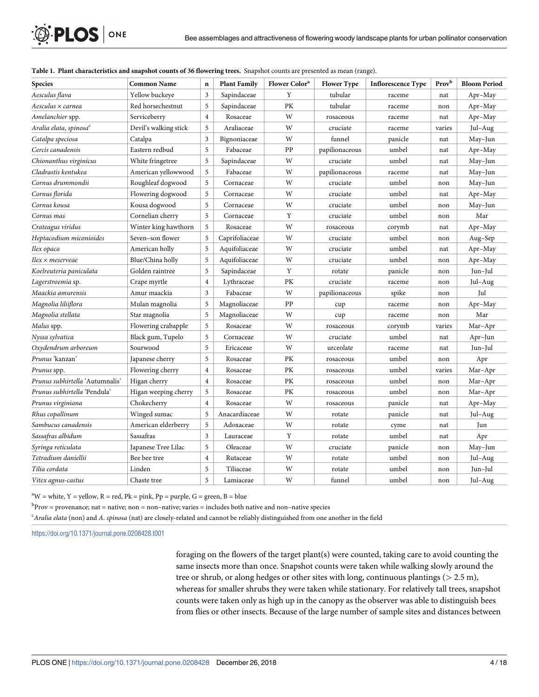| <b>Species</b>                     | <b>Common Name</b>    | $\mathbf n$    | <b>Plant Family</b> | Flower Color <sup>a</sup> | <b>Flower Type</b> | <b>Inflorescence Type</b> | Prov <sup>b</sup> | <b>Bloom Period</b> |
|------------------------------------|-----------------------|----------------|---------------------|---------------------------|--------------------|---------------------------|-------------------|---------------------|
| Aesculus flava                     | Yellow buckeye        | 3              | Sapindaceae         | Y                         | tubular            | raceme                    | nat               | Apr-May             |
| Aesculus × carnea                  | Red horsechestnut     | 5              | Sapindaceae         | PK                        | tubular            | raceme                    | non               | Apr-May             |
| Amelanchier spp.                   | Serviceberry          | $\overline{4}$ | Rosaceae            | W                         | rosaceous          | raceme                    | nat               | Apr-May             |
| Aralia elata, spinosa <sup>c</sup> | Devil's walking stick | 5              | Araliaceae          | W                         | cruciate           | raceme                    | varies            | Jul-Aug             |
| Catalpa speciosa                   | Catalpa               | 3              | Bignoniaceae        | W                         | funnel             | panicle                   | nat               | May-Jun             |
| Cercis canadensis                  | Eastern redbud        | 5              | Fabaceae            | PP                        | papilionaceous     | umbel                     | nat               | Apr-May             |
| Chionanthus virginicus             | White fringetree      | 5              | Sapindaceae         | W                         | cruciate           | umbel                     | nat               | May-Jun             |
| Cladrastis kentukea                | American yellowwood   | 5              | Fabaceae            | W                         | papilionaceous     | raceme                    | nat               | May-Jun             |
| Cornus drummondii                  | Roughleaf dogwood     | 5              | Cornaceae           | W                         | cruciate           | umbel                     | non               | May-Jun             |
| Cornus florida                     | Flowering dogwood     | 5              | Cornaceae           | W                         | cruciate           | umbel                     | nat               | Apr-May             |
| Cornus kousa                       | Kousa dogwood         | 5              | Cornaceae           | W                         | cruciate           | umbel                     | non               | May-Jun             |
| Cornus mas                         | Cornelian cherry      | 5              | Cornaceae           | Y                         | cruciate           | umbel                     | non               | Mar                 |
| Crateagus viridus                  | Winter king hawthorn  | 5              | Rosaceae            | W                         | rosaceous          | corymb                    | nat               | Apr-May             |
| Heptacodium miconioides            | Seven-son flower      | 5              | Caprifoliaceae      | W                         | cruciate           | umbel                     | non               | Aug-Sep             |
| Ilex opaca                         | American holly        | 5              | Aquifoliaceae       | W                         | cruciate           | umbel                     | nat               | Apr-May             |
| Ilex × meserveae                   | Blue/China holly      | 5              | Aquifoliaceae       | W                         | cruciate           | umbel                     | non               | Apr-May             |
| Koelreuteria paniculata            | Golden raintree       | 5              | Sapindaceae         | Y                         | rotate             | panicle                   | non               | Jun-Jul             |
| Lagerstroemia sp.                  | Crape myrtle          | $\overline{4}$ | Lythraceae          | PK                        | cruciate           | raceme                    | non               | Jul-Aug             |
| Maackia amurensis                  | Amur maackia          | $\overline{3}$ | Fabaceae            | W                         | papilionaceous     | spike                     | non               | Jul                 |
| Magnolia liliiflora                | Mulan magnolia        | 5              | Magnoliaceae        | PP                        | cup                | raceme                    | non               | Apr-May             |
| Magnolia stellata                  | Star magnolia         | 5              | Magnoliaceae        | W                         | cup                | raceme                    | non               | Mar                 |
| Malus spp.                         | Flowering crabapple   | 5              | Rosaceae            | W                         | rosaceous          | corymb                    | varies            | Mar-Apr             |
| Nyssa sylvatica                    | Black gum, Tupelo     | 5              | Cornaceae           | W                         | cruciate           | umbel                     | nat               | Apr-Jun             |
| Oxydendrum arboreum                | Sourwood              | 5              | Ericaceae           | W                         | urceolate          | raceme                    | nat               | Jun-Jul             |
| Prunus 'kanzan'                    | Japanese cherry       | 5              | Rosaceae            | PК                        | rosaceous          | umbel                     | non               | Apr                 |
| Prunus spp.                        | Flowering cherry      | $\overline{4}$ | Rosaceae            | PK                        | rosaceous          | umbel                     | varies            | Mar-Apr             |
| Prunus subhirtella 'Autumnalis'    | Higan cherry          | $\overline{4}$ | Rosaceae            | PK                        | rosaceous          | umbel                     | non               | Mar-Apr             |
| Prunus subhirtella 'Pendula'       | Higan weeping cherry  | 5              | Rosaceae            | PК                        | rosaceous          | umbel                     | non               | Mar-Apr             |
| Prunus virginiana                  | Chokecherry           | $\overline{4}$ | Rosaceae            | W                         | rosaceous          | panicle                   | nat               | Apr-May             |
| Rhus copallinum                    | Winged sumac          | 5              | Anacardiaceae       | W                         | rotate             | panicle                   | nat               | Jul-Aug             |
| Sambucus canadensis                | American elderberry   | 5              | Adoxaceae           | W                         | rotate             | cyme                      | nat               | Jun                 |
| Sassafras albidum                  | Sassafras             | 3              | Lauraceae           | Y                         | rotate             | umbel                     | nat               | Apr                 |
| Syringa reticulata                 | Japanese Tree Lilac   | 5              | Oleaceae            | W                         | cruciate           | panicle                   | non               | May-Jun             |
| Tetradium daniellii                | Bee bee tree          | $\overline{4}$ | Rutaceae            | W                         | rotate             | umbel                     | non               | Jul-Aug             |
| Tilia cordata                      | Linden                | 5              | Tiliaceae           | W                         | rotate             | umbel                     | non               | Jun-Jul             |
| Vitex agnus-castus                 | Chaste tree           | 5              | Lamiaceae           | W                         | funnel             | umbel                     | non               | Jul-Aug             |

# <span id="page-3-0"></span>**[Table](#page-2-0) 1. Plant characteristics and snapshot counts of 36 flowering trees.** Snapshot counts are presented as mean (range).

 $\rm{^{a}W}$  = white, Y = yellow, R = red, Pk = pink, Pp = purple, G = green, B = blue

 $\rm b$ Prov = provenance; nat = native; non = non–native; varies = includes both native and non–native species

c *Aralia elata* (non) and *A*. *spinosa* (nat) are closely-related and cannot be reliably distinguished from one another in the field

<https://doi.org/10.1371/journal.pone.0208428.t001>

foraging on the flowers of the target plant(s) were counted, taking care to avoid counting the same insects more than once. Snapshot counts were taken while walking slowly around the tree or shrub, or along hedges or other sites with long, continuous plantings (*>* 2.5 m), whereas for smaller shrubs they were taken while stationary. For relatively tall trees, snapshot counts were taken only as high up in the canopy as the observer was able to distinguish bees from flies or other insects. Because of the large number of sample sites and distances between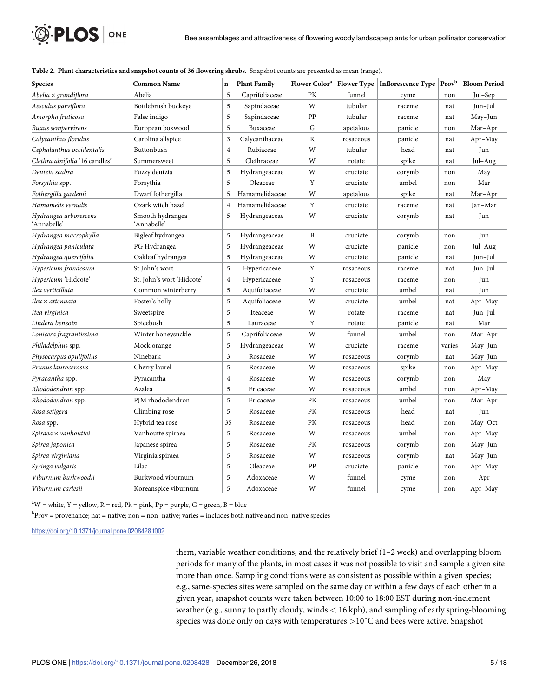| <b>Species</b>                       | <b>Common Name</b>              | $\mathbf n$             | <b>Plant Family</b> |    |           | Flower Color <sup>a</sup>   Flower Type   Inflorescence Type   Prov <sup>b</sup> |        | <b>Bloom Period</b> |
|--------------------------------------|---------------------------------|-------------------------|---------------------|----|-----------|----------------------------------------------------------------------------------|--------|---------------------|
| $Abelia \times gradient$             | Abelia                          | 5                       | Caprifoliaceae      | PK | funnel    | cyme                                                                             | non    | Jul-Sep             |
| Aesculus parviflora                  | Bottlebrush buckeye             | 5                       | Sapindaceae         | W  | tubular   | raceme                                                                           | nat    | Jun-Jul             |
| Amorpha fruticosa                    | False indigo                    | 5                       | Sapindaceae         | PP | tubular   | raceme                                                                           | nat    | May-Jun             |
| Buxus sempervirens                   | European boxwood                | 5                       | Buxaceae            | G  | apetalous | panicle                                                                          | non    | Mar-Apr             |
| Calycanthus floridus                 | Carolina allspice               | 3                       | Calycanthaceae      | R  | rosaceous | panicle                                                                          | nat    | Apr-May             |
| Cephalanthus occidentalis            | Buttonbush                      | $\overline{4}$          | Rubiaceae           | W  | tubular   | head                                                                             | nat    | Jun                 |
| Clethra alnifolia '16 candles'       | Summersweet                     | 5                       | Clethraceae         | W  | rotate    | spike                                                                            | nat    | Jul-Aug             |
| Deutzia scabra                       | Fuzzy deutzia                   | 5                       | Hydrangeaceae       | W  | cruciate  | corymb                                                                           | non    | May                 |
| Forsythia spp.                       | Forsythia                       | 5                       | Oleaceae            | Y  | cruciate  | umbel                                                                            | non    | Mar                 |
| Fothergilla gardenii                 | Dwarf fothergilla               | 5                       | Hamamelidaceae      | W  | apetalous | spike                                                                            | nat    | Mar-Apr             |
| Hamamelis vernalis                   | Ozark witch hazel               | $\overline{4}$          | Hamamelidaceae      | Y  | cruciate  | raceme                                                                           | nat    | Jan-Mar             |
| Hydrangea arborescens<br>'Annabelle' | Smooth hydrangea<br>'Annabelle' | 5                       | Hydrangeaceae       | W  | cruciate  | corymb                                                                           | nat    | Jun                 |
| Hydrangea macrophylla                | Bigleaf hydrangea               | 5                       | Hydrangeaceae       | B  | cruciate  | corymb                                                                           | non    | Jun                 |
| Hydrangea paniculata                 | PG Hydrangea                    | 5                       | Hydrangeaceae       | W  | cruciate  | panicle                                                                          | non    | Jul-Aug             |
| Hydrangea quercifolia                | Oakleaf hydrangea               | 5                       | Hydrangeaceae       | W  | cruciate  | panicle                                                                          | nat    | Jun-Jul             |
| Hypericum frondosum                  | St.John's wort                  | 5                       | Hypericaceae        | Y  | rosaceous | raceme                                                                           | nat    | Jun–Jul             |
| Hypericum 'Hidcote'                  | St. John's wort 'Hidcote'       | $\overline{4}$          | Hypericaceae        | Y  | rosaceous | raceme                                                                           | non    | Jun                 |
| Ilex verticillata                    | Common winterberry              | 5                       | Aquifoliaceae       | W  | cruciate  | umbel                                                                            | nat    | Jun                 |
| $Ilex \times$ attenuata              | Foster's holly                  | 5                       | Aquifoliaceae       | W  | cruciate  | umbel                                                                            | nat    | Apr-May             |
| Itea virginica                       | Sweetspire                      | 5                       | Iteaceae            | W  | rotate    | raceme                                                                           | nat    | Jun–Jul             |
| Lindera benzoin                      | Spicebush                       | 5                       | Lauraceae           | Υ  | rotate    | panicle                                                                          | nat    | Mar                 |
| Lonicera fragrantissima              | Winter honeysuckle              | 5                       | Caprifoliaceae      | W  | funnel    | umbel                                                                            | non    | Mar-Apr             |
| Philadelphus spp.                    | Mock orange                     | 5                       | Hydrangeaceae       | W  | cruciate  | raceme                                                                           | varies | May-Jun             |
| Physocarpus opulifolius              | Ninebark                        | 3                       | Rosaceae            | W  | rosaceous | corymb                                                                           | nat    | May-Jun             |
| Prunus laurocerasus                  | Cherry laurel                   | 5                       | Rosaceae            | W  | rosaceous | spike                                                                            | non    | Apr-May             |
| Pyracantha spp.                      | Pyracantha                      | $\overline{\mathbf{4}}$ | Rosaceae            | W  | rosaceous | corymb                                                                           | non    | May                 |
| Rhododendron spp.                    | Azalea                          | 5                       | Ericaceae           | W  | rosaceous | umbel                                                                            | non    | Apr-May             |
| Rhododendron spp.                    | PJM rhododendron                | 5                       | Ericaceae           | PK | rosaceous | umbel                                                                            | non    | Mar-Apr             |
| Rosa setigera                        | Climbing rose                   | 5                       | Rosaceae            | PК | rosaceous | head                                                                             | nat    | Jun                 |
| Rosa spp.                            | Hybrid tea rose                 | 35                      | Rosaceae            | PK | rosaceous | head                                                                             | non    | May-Oct             |
| $Spiraea \times vanhouttei$          | Vanhoutte spiraea               | 5                       | Rosaceae            | W  | rosaceous | umbel                                                                            | non    | Apr-May             |
| Spirea japonica                      | Japanese spirea                 | 5                       | Rosaceae            | PК | rosaceous | corymb                                                                           | non    | May-Jun             |
| Spirea virginiana                    | Virginia spiraea                | 5                       | Rosaceae            | W  | rosaceous | corymb                                                                           | nat    | May-Jun             |
| Syringa vulgaris                     | Lilac                           | 5                       | Oleaceae            | PP | cruciate  | panicle                                                                          | non    | Apr-May             |
| Viburnum burkwoodii                  | Burkwood viburnum               | 5                       | Adoxaceae           | W  | funnel    | cyme                                                                             | non    | Apr                 |
| Viburnum carlesii                    | Koreanspice viburnum            | 5                       | Adoxaceae           | W  | funnel    | cyme                                                                             | non    | Apr-May             |

<span id="page-4-0"></span>

| Table 2. Plant characteristics and snapshot counts of 36 flowering shrubs. Snapshot counts are presented as mean (range). |  |  |  |
|---------------------------------------------------------------------------------------------------------------------------|--|--|--|
|                                                                                                                           |  |  |  |

 $\mathbf{A}^{\text{a}}\mathbf{W}$  = white, Y = yellow, R = red, Pk = pink, Pp = purple, G = green, B = blue

 $^{\rm b}$ Prov = provenance; nat = native; non = non–native; varies = includes both native and non–native species

<https://doi.org/10.1371/journal.pone.0208428.t002>

them, variable weather conditions, and the relatively brief (1–2 week) and overlapping bloom periods for many of the plants, in most cases it was not possible to visit and sample a given site more than once. Sampling conditions were as consistent as possible within a given species; e.g., same-species sites were sampled on the same day or within a few days of each other in a given year, snapshot counts were taken between 10:00 to 18:00 EST during non-inclement weather (e.g., sunny to partly cloudy, winds *<* 16 kph), and sampling of early spring-blooming species was done only on days with temperatures *>*10˚C and bees were active. Snapshot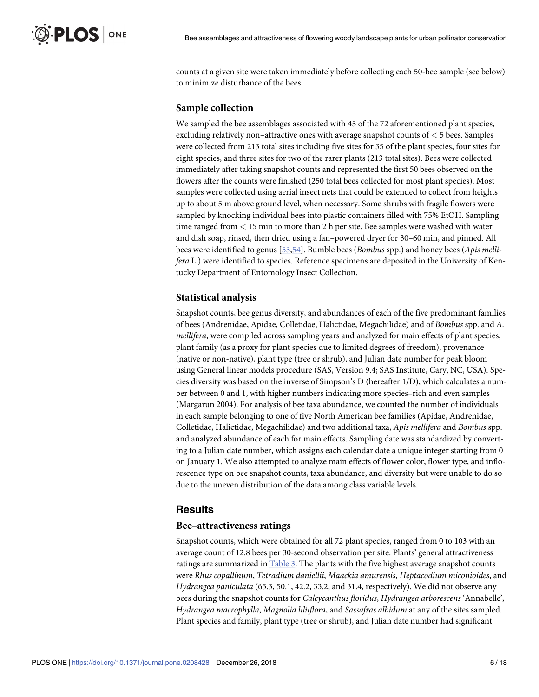<span id="page-5-0"></span>counts at a given site were taken immediately before collecting each 50-bee sample (see below) to minimize disturbance of the bees.

# **Sample collection**

We sampled the bee assemblages associated with 45 of the 72 aforementioned plant species, excluding relatively non–attractive ones with average snapshot counts of *<* 5 bees. Samples were collected from 213 total sites including five sites for 35 of the plant species, four sites for eight species, and three sites for two of the rarer plants (213 total sites). Bees were collected immediately after taking snapshot counts and represented the first 50 bees observed on the flowers after the counts were finished (250 total bees collected for most plant species). Most samples were collected using aerial insect nets that could be extended to collect from heights up to about 5 m above ground level, when necessary. Some shrubs with fragile flowers were sampled by knocking individual bees into plastic containers filled with 75% EtOH. Sampling time ranged from *<* 15 min to more than 2 h per site. Bee samples were washed with water and dish soap, rinsed, then dried using a fan–powered dryer for 30–60 min, and pinned. All bees were identified to genus [\[53,54\]](#page-16-0). Bumble bees (*Bombus* spp.) and honey bees (*Apis mellifera* L.) were identified to species. Reference specimens are deposited in the University of Kentucky Department of Entomology Insect Collection.

#### **Statistical analysis**

Snapshot counts, bee genus diversity, and abundances of each of the five predominant families of bees (Andrenidae, Apidae, Colletidae, Halictidae, Megachilidae) and of *Bombus* spp. and *A*. *mellifera*, were compiled across sampling years and analyzed for main effects of plant species, plant family (as a proxy for plant species due to limited degrees of freedom), provenance (native or non-native), plant type (tree or shrub), and Julian date number for peak bloom using General linear models procedure (SAS, Version 9.4; SAS Institute, Cary, NC, USA). Species diversity was based on the inverse of Simpson's D (hereafter 1/D), which calculates a number between 0 and 1, with higher numbers indicating more species–rich and even samples (Margarun 2004). For analysis of bee taxa abundance, we counted the number of individuals in each sample belonging to one of five North American bee families (Apidae, Andrenidae, Colletidae, Halictidae, Megachilidae) and two additional taxa, *Apis mellifera* and *Bombus* spp. and analyzed abundance of each for main effects. Sampling date was standardized by converting to a Julian date number, which assigns each calendar date a unique integer starting from 0 on January 1. We also attempted to analyze main effects of flower color, flower type, and inflorescence type on bee snapshot counts, taxa abundance, and diversity but were unable to do so due to the uneven distribution of the data among class variable levels.

# **Results**

#### **Bee–attractiveness ratings**

Snapshot counts, which were obtained for all 72 plant species, ranged from 0 to 103 with an average count of 12.8 bees per 30-second observation per site. Plants' general attractiveness ratings are summarized in [Table](#page-6-0) 3. The plants with the five highest average snapshot counts were *Rhus copallinum*, *Tetradium daniellii*, *Maackia amurensis*, *Heptacodium miconioides*, and *Hydrangea paniculata* (65.3, 50.1, 42.2, 33.2, and 31.4, respectively). We did not observe any bees during the snapshot counts for *Calcycanthus floridus*, *Hydrangea arborescens* 'Annabelle', *Hydrangea macrophylla*, *Magnolia liliiflora*, and *Sassafras albidum* at any of the sites sampled. Plant species and family, plant type (tree or shrub), and Julian date number had significant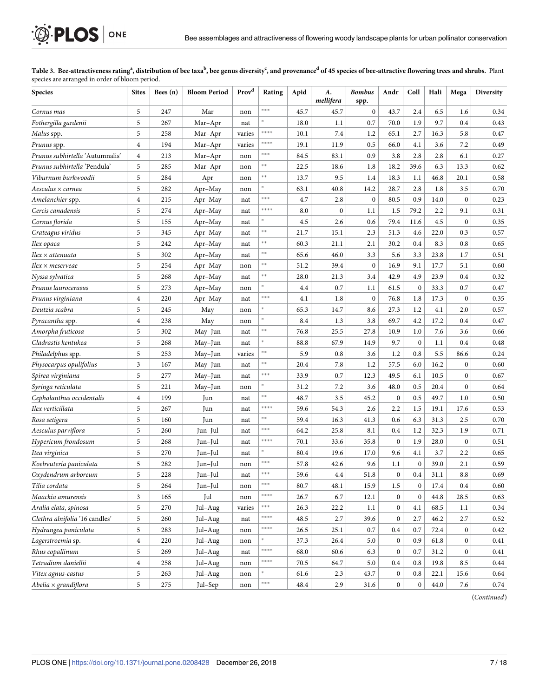#### [Table](#page-5-0) 3. Bee-attractiveness rating<sup>a</sup>, distribution of bee taxa<sup>b</sup>, bee genus diversity<sup>c</sup>, and provenance<sup>d</sup> of 45 species of bee-attractive flowering trees and shrubs. Plant species are arranged in order of bloom period.

<span id="page-6-0"></span>**OF PLOS** ONE

| <b>Species</b>                  | <b>Sites</b>   | Bees $(n)$ | <b>Bloom Period</b> | Prov <sup>d</sup> | Rating        | Apid | А.<br>mellifera  | <b>Bombus</b><br>spp. | Andr             | Coll             | Hali     | Mega             | <b>Diversity</b> |
|---------------------------------|----------------|------------|---------------------|-------------------|---------------|------|------------------|-----------------------|------------------|------------------|----------|------------------|------------------|
| Cornus mas                      | 5              | 247        | Mar                 | non               | ***           | 45.7 | 45.7             | $\mathbf{0}$          | 43.7             | 2.4              | 6.5      | 1.6              | 0.34             |
| Fothergilla gardenii            | 5              | 267        | Mar-Apr             | nat               |               | 18.0 | 1.1              | 0.7                   | 70.0             | 1.9              | 9.7      | 0.4              | 0.43             |
| Malus spp.                      | 5              | 258        | Mar-Apr             | varies            | ****          | 10.1 | 7.4              | 1.2                   | 65.1             | 2.7              | 16.3     | 5.8              | 0.47             |
| Prunus spp.                     | $\overline{4}$ | 194        | Mar-Apr             | varies            | ****          | 19.1 | 11.9             | 0.5                   | 66.0             | 4.1              | 3.6      | 7.2              | 0.49             |
| Prunus subhirtella 'Autumnalis' | $\overline{4}$ | 213        | Mar-Apr             | non               | ***           | 84.5 | 83.1             | 0.9                   | 3.8              | 2.8              | 2.8      | 6.1              | 0.27             |
| Prunus subhirtella 'Pendula'    | 5              | 285        | Mar-Apr             | non               | $* *$         | 22.5 | 18.6             | 1.8                   | 18.2             | 39.6             | 6.3      | 13.3             | 0.62             |
| Viburnum burkwoodii             | 5              | 284        | Apr                 | non               | $* *$         | 13.7 | 9.5              | 1.4                   | 18.3             | 1.1              | 46.8     | 20.1             | 0.58             |
| Aesculus × carnea               | 5              | 282        | Apr-May             | non               |               | 63.1 | 40.8             | 14.2                  | 28.7             | 2.8              | 1.8      | 3.5              | 0.70             |
| Amelanchier spp.                | $\overline{4}$ | 215        | Apr-May             | nat               | ***           | 4.7  | 2.8              | $\mathbf{0}$          | 80.5             | 0.9              | 14.0     | $\boldsymbol{0}$ | 0.23             |
| Cercis canadensis               | 5              | 274        | Apr-May             | nat               | ****          | 8.0  | $\boldsymbol{0}$ | 1.1                   | 1.5              | 79.2             | 2.2      | 9.1              | 0.31             |
| Cornus florida                  | 5              | 155        | Apr-May             | nat               |               | 4.5  | 2.6              | 0.6                   | 79.4             | 11.6             | 4.5      | $\boldsymbol{0}$ | 0.35             |
| Crateagus viridus               | 5              | 345        | Apr-May             | nat               | $\ast$ $\ast$ | 21.7 | 15.1             | 2.3                   | 51.3             | 4.6              | 22.0     | 0.3              | 0.57             |
| Ilex opaca                      | 5              | 242        | Apr-May             | nat               | $\ast$ $\ast$ | 60.3 | 21.1             | 2.1                   | 30.2             | 0.4              | 8.3      | 0.8              | 0.65             |
| Ilex × attenuata                | 5              | 302        | Apr-May             | nat               | $* *$         | 65.6 | 46.0             | 3.3                   | 5.6              | 3.3              | 23.8     | 1.7              | 0.51             |
| Ilex × meserveae                | 5              | 254        | Apr-May             | non               | $\ast$ $\ast$ | 51.2 | 39.4             | $\mathbf{0}$          | 16.9             | 9.1              | 17.7     | 5.1              | 0.60             |
| Nyssa sylvatica                 | 5              | 268        | Apr-May             | nat               | $\ast$ $\ast$ | 28.0 | 21.3             | 3.4                   | 42.9             | 4.9              | 23.9     | 0.4              | 0.32             |
| Prunus laurocerasus             | 5              | 273        | Apr-May             | non               | $\ast$        | 4.4  | 0.7              | 1.1                   | 61.5             | $\boldsymbol{0}$ | 33.3     | 0.7              | 0.47             |
| Prunus virginiana               | $\overline{4}$ | 220        | Apr-May             | nat               | ***           | 4.1  | 1.8              | $\mathbf{0}$          | 76.8             | 1.8              | 17.3     | $\boldsymbol{0}$ | 0.35             |
| Deutzia scabra                  | 5              | 245        | May                 | non               | $\ast$        | 65.3 | 14.7             | 8.6                   | 27.3             | 1.2              | 4.1      | 2.0              | 0.57             |
| Pyracantha spp.                 | $\overline{4}$ | 238        | May                 | non               |               | 8.4  | 1.3              | 3.8                   | 69.7             | 4.2              | 17.2     | 0.4              | 0.47             |
| Amorpha fruticosa               | 5              | 302        | May-Jun             | nat               | $* *$         | 76.8 | 25.5             | 27.8                  | 10.9             | 1.0              | 7.6      | 3.6              | 0.66             |
| Cladrastis kentukea             | 5              | 268        | May-Jun             | nat               | $\ast$        | 88.8 | 67.9             | 14.9                  | 9.7              | $\mathbf{0}$     | 1.1      | 0.4              | 0.48             |
| Philadelphus spp.               | 5              | 253        | May-Jun             | varies            | $\ast$ $\ast$ | 5.9  | 0.8              | 3.6                   | 1.2              | 0.8              | 5.5      | 86.6             | 0.24             |
| Physocarpus opulifolius         | 3              | 167        | May-Jun             | nat               | $* *$         | 20.4 | 7.8              | 1.2                   | 57.5             | 6.0              | 16.2     | $\boldsymbol{0}$ | 0.60             |
| Spirea virginiana               | 5              | 277        | May-Jun             | nat               | ***           | 33.9 | 0.7              | 12.3                  | 49.5             | 6.1              | 10.5     | $\boldsymbol{0}$ | 0.67             |
| Syringa reticulata              | 5              | 221        | May-Jun             | non               |               | 31.2 | 7.2              | 3.6                   | 48.0             | 0.5              | 20.4     | $\boldsymbol{0}$ | 0.64             |
| Cephalanthus occidentalis       | $\overline{4}$ | 199        | Jun                 | nat               | $\ast$ $\ast$ | 48.7 | 3.5              | 45.2                  | $\boldsymbol{0}$ | 0.5              | 49.7     | 1.0              | 0.50             |
| Ilex verticillata               | 5              | 267        | Jun                 | nat               | ****          | 59.6 | 54.3             | 2.6                   | 2.2              | 1.5              | 19.1     | 17.6             | 0.53             |
| Rosa setigera                   | 5              | 160        | Jun                 | nat               | $\ast\ast$    | 59.4 | 16.3             | 41.3                  | 0.6              | 6.3              | 31.3     | 2.5              | 0.70             |
| Aesculus parviflora             | 5              | 260        | Jun-Jul             | nat               | ***           | 64.2 | 25.8             | 8.1                   | 0.4              | 1.2              | 32.3     | 1.9              | 0.71             |
| Hypericum frondosum             | 5              | 268        | Jun-Jul             | nat               | ****          | 70.1 | 33.6             | 35.8                  | $\boldsymbol{0}$ | 1.9              | 28.0     | $\boldsymbol{0}$ | 0.51             |
| Itea virginica                  | 5              | 270        | Jun-Jul             | nat               |               | 80.4 | 19.6             | 17.0                  | 9.6              | 4.1              | 3.7      | 2.2              | 0.65             |
| Koelreuteria paniculata         | 5              | 282        | Jun-Jul             | non               | ***           | 57.8 | 42.6             | 9.6                   | 1.1              | $\boldsymbol{0}$ | 39.0     | 2.1              | 0.59             |
| Oxydendrum arboreum             | 5              | 228        | Jun-Jul             | nat               | ***           | 59.6 | 4.4              | 51.8                  | $\mathbf{0}$     | 0.4              | 31.1     | 8.8              | 0.69             |
| Tilia cordata                   | 5              | 264        | Jun-Jul             | non               | ***           | 80.7 | 48.1             | 15.9                  | 1.5              | $\boldsymbol{0}$ | 17.4     | 0.4              | 0.60             |
| Maackia amurensis               | 3              | 165        | Jul                 | non               | ****          | 26.7 | 6.7              | 12.1                  | $\mathbf{0}$     | $\boldsymbol{0}$ | 44.8     | 28.5             | 0.63             |
| Aralia elata, spinosa           | 5              | 270        | Jul-Aug             | varies            | $***$         | 26.3 | 22.2             | $1.1\,$               | $\boldsymbol{0}$ | 4.1              | 68.5     | 1.1              | 0.34             |
| Clethra alnifolia '16 candles'  | 5              | 260        | Jul-Aug             | nat               | $****$        | 48.5 | 2.7              | 39.6                  | $\bf{0}$         | 2.7              | 46.2     | 2.7              | 0.52             |
| Hydrangea paniculata            | 5              | 283        | Jul-Aug             | non               | $****$        | 26.5 | 25.1             | 0.7                   | $0.4\,$          | 0.7              | 72.4     | $\bf{0}$         | 0.42             |
| Lagerstroemia sp.               | $\overline{4}$ | 220        | Jul-Aug             | non               | ×.            | 37.3 | 26.4             | 5.0                   | $\bf{0}$         | 0.9              | 61.8     | $\bf{0}$         | 0.41             |
| Rhus copallinum                 | 5              | 269        | Jul-Aug             | nat               | ****          | 68.0 | 60.6             | 6.3                   | $\mathbf{0}$     | 0.7              | 31.2     | $\boldsymbol{0}$ | 0.41             |
| Tetradium daniellii             | $\overline{4}$ | 258        | Jul-Aug             | non               | ****          | 70.5 | 64.7             | 5.0                   | $0.4\,$          | 0.8              | 19.8     | 8.5              | 0.44             |
| Vitex agnus-castus              | 5              | 263        | Jul-Aug             | non               | *.            | 61.6 | 2.3              | 43.7                  | $\boldsymbol{0}$ | $0.8\,$          | 22.1     | 15.6             | 0.64             |
| $Abelia \times gradient$        | 5              | 275        | Jul-Sep             | non               | $***$         | 48.4 | 2.9              | 31.6                  | $\boldsymbol{0}$ | $\boldsymbol{0}$ | $44.0\,$ | 7.6              | 0.74             |

(*Continued*)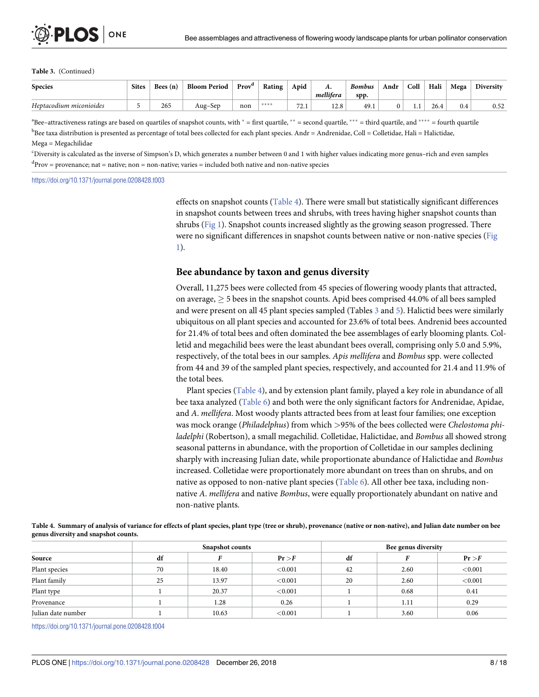#### <span id="page-7-0"></span>**Table 3.** (Continued)

| <b>Species</b>          | <b>Sites</b> | Bees $(n)$ | <b>Bloom Period</b>   | Prov <sup>a</sup> | Rating | Apid                 | л.         | <b>Bombus</b> | Andr | Coll | Hali | Mega | Diversity |
|-------------------------|--------------|------------|-----------------------|-------------------|--------|----------------------|------------|---------------|------|------|------|------|-----------|
|                         |              |            |                       |                   |        |                      | mellifera  | spp.          |      |      |      |      |           |
| Heptacodium miconioides |              | 265        | $\sqrt{2}$<br>Aug–Sep | non               | ****   | 72.1<br>$\sqrt{2.1}$ | ാറ<br>14.0 | 49.1          |      | .    | 26.4 | 0.4  | 0.52      |

 $a^*$ Bee–attractiveness ratings are based on quartiles of snapshot counts, with  $* =$  first quartile,  $** =$  second quartile,  $*** =$  third quartile, and  $*** =$  fourth quartile bee taxa distribution is presented as percentage of total bees collected for each plant species. Andr = Andrenidae, Coll = Colletidae, Hali = Halictidae, Mega = Megachilidae

c Diversity is calculated as the inverse of Simpson's D, which generates a number between 0 and 1 with higher values indicating more genus–rich and even samples <sup>d</sup>Prov = provenance; nat = native; non = non-native; varies = included both native and non-native species

<https://doi.org/10.1371/journal.pone.0208428.t003>

effects on snapshot counts (Table 4). There were small but statistically significant differences in snapshot counts between trees and shrubs, with trees having higher snapshot counts than shrubs [\(Fig](#page-8-0) 1). Snapshot counts increased slightly as the growing season progressed. There were no significant differences in snapshot counts between native or non-native species ([Fig](#page-8-0) [1\)](#page-8-0).

#### **Bee abundance by taxon and genus diversity**

Overall, 11,275 bees were collected from 45 species of flowering woody plants that attracted, on average,  $\geq$  5 bees in the snapshot counts. Apid bees comprised 44.0% of all bees sampled and were present on all 45 plant species sampled (Tables [3](#page-6-0) and [5\)](#page-8-0). Halictid bees were similarly ubiquitous on all plant species and accounted for 23.6% of total bees. Andrenid bees accounted for 21.4% of total bees and often dominated the bee assemblages of early blooming plants. Colletid and megachilid bees were the least abundant bees overall, comprising only 5.0 and 5.9%, respectively, of the total bees in our samples. *Apis mellifera* and *Bombus* spp. were collected from 44 and 39 of the sampled plant species, respectively, and accounted for 21.4 and 11.9% of the total bees.

Plant species (Table 4), and by extension plant family, played a key role in abundance of all bee taxa analyzed ([Table](#page-9-0) 6) and both were the only significant factors for Andrenidae, Apidae, and *A*. *mellifera*. Most woody plants attracted bees from at least four families; one exception was mock orange (*Philadelphus*) from which *>*95% of the bees collected were *Chelostoma philadelphi* (Robertson), a small megachilid. Colletidae, Halictidae, and *Bombus* all showed strong seasonal patterns in abundance, with the proportion of Colletidae in our samples declining sharply with increasing Julian date, while proportionate abundance of Halictidae and *Bombus* increased. Colletidae were proportionately more abundant on trees than on shrubs, and on native as opposed to non-native plant species ([Table](#page-9-0) 6). All other bee taxa, including nonnative *A*. *mellifera* and native *Bombus*, were equally proportionately abundant on native and non-native plants.

Table 4. Summary of analysis of variance for effects of plant species, plant type (tree or shrub), provenance (native or non-native), and Julian date number on bee **genus diversity and snapshot counts.**

|                    |    | <b>Snapshot counts</b> |            | Bee genus diversity |      |         |  |
|--------------------|----|------------------------|------------|---------------------|------|---------|--|
| Source             | df |                        | Pr > F     | df                  |      | Pr > F  |  |
| Plant species      | 70 | 18.40                  | < 0.001    | 42                  | 2.60 | < 0.001 |  |
| Plant family       | 25 | 13.97                  | < 0.001    | 20                  | 2.60 | < 0.001 |  |
| Plant type         |    | 20.37                  | < 0.001    |                     | 0.68 | 0.41    |  |
| Provenance         |    | 1.28                   | 0.26       |                     | 1.11 | 0.29    |  |
| Julian date number |    | 10.63                  | ${<}0.001$ |                     | 3.60 | 0.06    |  |

<https://doi.org/10.1371/journal.pone.0208428.t004>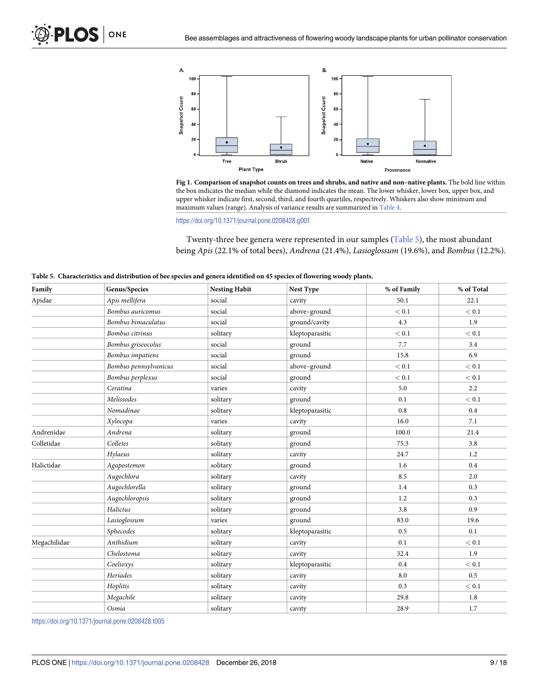<span id="page-8-0"></span>





<https://doi.org/10.1371/journal.pone.0208428.g001>

Twenty-three bee genera were represented in our samples (Table 5), the most abundant being *Apis* (22.1% of total bees), *Andrena* (21.4%), *Lasioglossum* (19.6%), and *Bombus* (12.2%).

| Family       | Genus/Species           | <b>Nesting Habit</b> | Nest Type       | % of Family | % of Total |
|--------------|-------------------------|----------------------|-----------------|-------------|------------|
| Apidae       | Apis mellifera          | social               | cavity          | 50.1        | 22.1       |
|              | Bombus auricomus        | social               | above-ground    | < 0.1       | < 0.1      |
|              | Bombus bimaculatus      | social               | ground/cavity   | 4.3         | 1.9        |
|              | Bombus citrinus         | solitary             | kleptoparasitic | $< 0.1\,$   | < 0.1      |
|              | Bombus griseocolus      | social               | ground          | 7.7         | 3.4        |
|              | <b>Bombus</b> impatiens | social               | ground          | 15.8        | 6.9        |
|              | Bombus pennsylvanicus   | social               | above-ground    | < 0.1       | < 0.1      |
|              | Bombus perplexus        | social               | ground          | $< 0.1$     | < 0.1      |
|              | Ceratina                | varies               | cavity          | 5.0         | 2.2        |
|              | Melissodes              | solitary             | ground          | 0.1         | < 0.1      |
|              | Nomadinae               | solitary             | kleptoparasitic | 0.8         | 0.4        |
|              | Xylocopa                | varies               | cavity          | 16.0        | 7.1        |
| Andrenidae   | Andrena                 | solitary             | ground          | 100.0       | 21.4       |
| Colletidae   | Colletes                | solitary             | ground          | 75.3        | 3.8        |
|              | Hylaeus                 | solitary             | cavity          | 24.7        | 1.2        |
| Halictidae   | Agapostemon             | solitary             | ground          | 1.6         | $0.4\,$    |
|              | Augochlora              | solitary             | cavity          | 8.5         | 2.0        |
|              | Augochlorella           | solitary             | ground          | 1.4         | 0.3        |
|              | Augochloropsis          | solitary             | ground          | 1.2         | 0.3        |
|              | Halictus                | solitary             | ground          | 3.8         | 0.9        |
|              | Lasioglossum            | varies               | ground          | 83.0        | 19.6       |
|              | Sphecodes               | solitary             | kleptoparasitic | 0.5         | 0.1        |
| Megachilidae | Anthidium               | solitary             | cavity          | 0.1         | < 0.1      |
|              | Chelostoma              | solitary             | cavity          | 32.4        | 1.9        |
|              | Coelioxys               | solitary             | kleptoparasitic | 0.4         | < 0.1      |
|              | Heriades                | solitary             | cavity          | 8.0         | 0.5        |
|              | Hoplitis                | solitary             | cavity          | 0.3         | $< 0.1\,$  |
|              | Megachile               | solitary             | cavity          | 29.8        | 1.8        |
|              | Osmia                   | solitary             | cavity          | 28.9        | 1.7        |

| Table 5. Characteristics and distribution of bee species and genera identified on 45 species of flowering woody plants. |  |  |  |
|-------------------------------------------------------------------------------------------------------------------------|--|--|--|
|-------------------------------------------------------------------------------------------------------------------------|--|--|--|

<https://doi.org/10.1371/journal.pone.0208428.t005>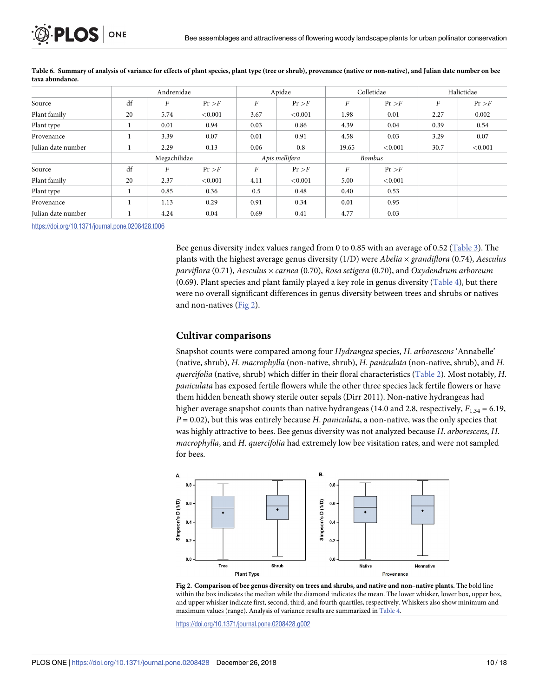<span id="page-9-0"></span>

|                    |    | Andrenidae       |         |                  | Apidae         |               | Colletidae |      | Halictidae |
|--------------------|----|------------------|---------|------------------|----------------|---------------|------------|------|------------|
| Source             | df | $\boldsymbol{F}$ | Pr > F  | $\boldsymbol{F}$ | Pr > F         | F             | Pr > F     | F    | Pr > F     |
| Plant family       | 20 | 5.74             | < 0.001 | 3.67             | < 0.001        | 1.98          | 0.01       | 2.27 | 0.002      |
| Plant type         |    | 0.01             | 0.94    | 0.03             | 0.86           | 4.39          | 0.04       | 0.39 | 0.54       |
| Provenance         |    | 3.39             | 0.07    | 0.01             | 0.91           | 4.58          | 0.03       | 3.29 | 0.07       |
| Julian date number |    | 2.29             | 0.13    | 0.06             | 0.8            | 19.65         | < 0.001    | 30.7 | ${<}0.001$ |
|                    |    | Megachilidae     |         |                  | Apis mellifera | <b>Bombus</b> |            |      |            |
| Source             | df | $\overline{F}$   | Pr > F  | F                | Pr > F         | F             | Pr > F     |      |            |
| Plant family       | 20 | 2.37             | < 0.001 | 4.11             | < 0.001        | 5.00          | < 0.001    |      |            |
| Plant type         |    | 0.85             | 0.36    | 0.5              | 0.48           | 0.40          | 0.53       |      |            |
| Provenance         |    | 1.13             | 0.29    | 0.91             | 0.34           | 0.01          | 0.95       |      |            |
| Julian date number |    | 4.24             | 0.04    | 0.69             | 0.41           | 4.77          | 0.03       |      |            |

[Table](#page-7-0) 6. Summary of analysis of variance for effects of plant species, plant type (tree or shrub), provenance (native or non-native), and Julian date number on bee **taxa abundance.**

<https://doi.org/10.1371/journal.pone.0208428.t006>

Bee genus diversity index values ranged from 0 to 0.85 with an average of 0.52 [\(Table](#page-6-0) 3). The plants with the highest average genus diversity (1/D) were *Abelia* × *grandiflora* (0.74), *Aesculus parviflora* (0.71), *Aesculus* × *carnea* (0.70), *Rosa setigera* (0.70), and *Oxydendrum arboreum* (0.69). Plant species and plant family played a key role in genus diversity [\(Table](#page-7-0) 4), but there were no overall significant differences in genus diversity between trees and shrubs or natives and non-natives (Fig 2).

#### **Cultivar comparisons**

Snapshot counts were compared among four *Hydrangea* species, *H*. *arborescens* 'Annabelle' (native, shrub), *H*. *macrophylla* (non-native, shrub), *H*. *paniculata* (non-native, shrub), and *H*. *quercifolia* (native, shrub) which differ in their floral characteristics ([Table](#page-4-0) 2). Most notably, *H*. *paniculata* has exposed fertile flowers while the other three species lack fertile flowers or have them hidden beneath showy sterile outer sepals (Dirr 2011). Non-native hydrangeas had higher average snapshot counts than native hydrangeas (14.0 and 2.8, respectively,  $F_{1,34} = 6.19$ , *P* = 0.02), but this was entirely because *H*. *paniculata*, a non-native, was the only species that was highly attractive to bees. Bee genus diversity was not analyzed because *H*. *arborescens*, *H*. *macrophylla*, and *H*. *quercifolia* had extremely low bee visitation rates, and were not sampled for bees.



**Fig 2. Comparison of bee genus diversity on trees and shrubs, and native and non–native plants.** The bold line within the box indicates the median while the diamond indicates the mean. The lower whisker, lower box, upper box, and upper whisker indicate first, second, third, and fourth quartiles, respectively. Whiskers also show minimum and maximum values (range). Analysis of variance results are summarized in [Table](#page-7-0) 4.

<https://doi.org/10.1371/journal.pone.0208428.g002>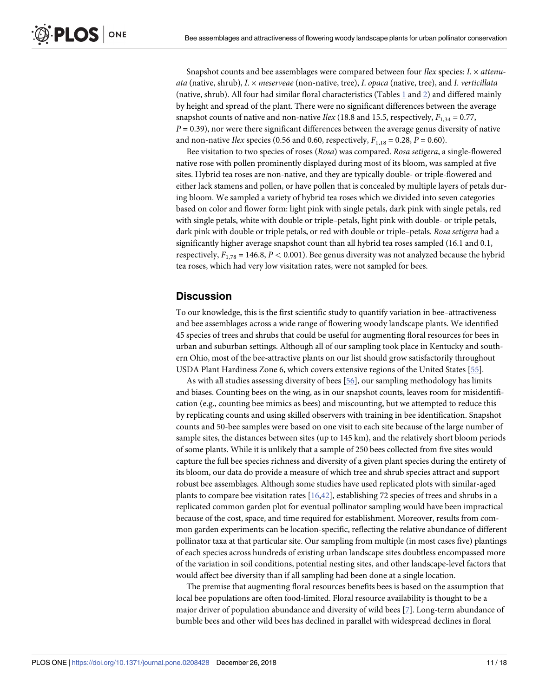<span id="page-10-0"></span>Snapshot counts and bee assemblages were compared between four *Ilex* species: *I*. × *attenuata* (native, shrub), *I*. × *meserveae* (non-native, tree), *I*. *opaca* (native, tree), and *I*. *verticillata* (native, shrub). All four had similar floral characteristics (Tables [1](#page-3-0) and [2\)](#page-4-0) and differed mainly by height and spread of the plant. There were no significant differences between the average snapshot counts of native and non-native *Ilex* (18.8 and 15.5, respectively,  $F_{1,34} = 0.77$ ,  $P = 0.39$ ), nor were there significant differences between the average genus diversity of native and non-native *Ilex* species (0.56 and 0.60, respectively,  $F_{1,18} = 0.28$ ,  $P = 0.60$ ).

Bee visitation to two species of roses (*Rosa*) was compared. *Rosa setigera*, a single-flowered native rose with pollen prominently displayed during most of its bloom, was sampled at five sites. Hybrid tea roses are non-native, and they are typically double- or triple-flowered and either lack stamens and pollen, or have pollen that is concealed by multiple layers of petals during bloom. We sampled a variety of hybrid tea roses which we divided into seven categories based on color and flower form: light pink with single petals, dark pink with single petals, red with single petals, white with double or triple–petals, light pink with double- or triple petals, dark pink with double or triple petals, or red with double or triple–petals. *Rosa setigera* had a significantly higher average snapshot count than all hybrid tea roses sampled (16.1 and 0.1, respectively, *F*1,78 = 146.8, *P <* 0.001). Bee genus diversity was not analyzed because the hybrid tea roses, which had very low visitation rates, were not sampled for bees.

# **Discussion**

To our knowledge, this is the first scientific study to quantify variation in bee–attractiveness and bee assemblages across a wide range of flowering woody landscape plants. We identified 45 species of trees and shrubs that could be useful for augmenting floral resources for bees in urban and suburban settings. Although all of our sampling took place in Kentucky and southern Ohio, most of the bee-attractive plants on our list should grow satisfactorily throughout USDA Plant Hardiness Zone 6, which covers extensive regions of the United States [[55](#page-16-0)].

As with all studies assessing diversity of bees [\[56\]](#page-16-0), our sampling methodology has limits and biases. Counting bees on the wing, as in our snapshot counts, leaves room for misidentification (e.g., counting bee mimics as bees) and miscounting, but we attempted to reduce this by replicating counts and using skilled observers with training in bee identification. Snapshot counts and 50-bee samples were based on one visit to each site because of the large number of sample sites, the distances between sites (up to 145 km), and the relatively short bloom periods of some plants. While it is unlikely that a sample of 250 bees collected from five sites would capture the full bee species richness and diversity of a given plant species during the entirety of its bloom, our data do provide a measure of which tree and shrub species attract and support robust bee assemblages. Although some studies have used replicated plots with similar-aged plants to compare bee visitation rates [\[16,](#page-14-0)[42](#page-15-0)], establishing 72 species of trees and shrubs in a replicated common garden plot for eventual pollinator sampling would have been impractical because of the cost, space, and time required for establishment. Moreover, results from common garden experiments can be location-specific, reflecting the relative abundance of different pollinator taxa at that particular site. Our sampling from multiple (in most cases five) plantings of each species across hundreds of existing urban landscape sites doubtless encompassed more of the variation in soil conditions, potential nesting sites, and other landscape-level factors that would affect bee diversity than if all sampling had been done at a single location.

The premise that augmenting floral resources benefits bees is based on the assumption that local bee populations are often food-limited. Floral resource availability is thought to be a major driver of population abundance and diversity of wild bees [[7](#page-14-0)]. Long-term abundance of bumble bees and other wild bees has declined in parallel with widespread declines in floral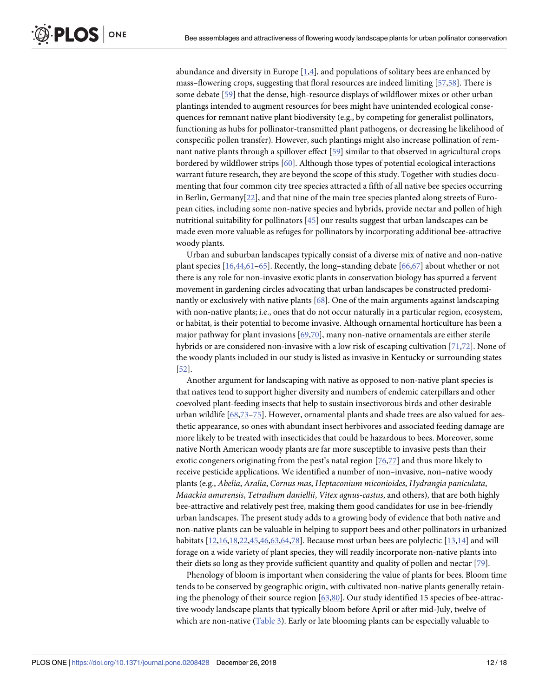<span id="page-11-0"></span>abundance and diversity in Europe  $[1,4]$  $[1,4]$ , and populations of solitary bees are enhanced by mass–flowering crops, suggesting that floral resources are indeed limiting [\[57,58\]](#page-16-0). There is some debate [\[59\]](#page-16-0) that the dense, high-resource displays of wildflower mixes or other urban plantings intended to augment resources for bees might have unintended ecological consequences for remnant native plant biodiversity (e.g., by competing for generalist pollinators, functioning as hubs for pollinator-transmitted plant pathogens, or decreasing he likelihood of conspecific pollen transfer). However, such plantings might also increase pollination of remnant native plants through a spillover effect [\[59\]](#page-16-0) similar to that observed in agricultural crops bordered by wildflower strips [[60](#page-16-0)]. Although those types of potential ecological interactions warrant future research, they are beyond the scope of this study. Together with studies documenting that four common city tree species attracted a fifth of all native bee species occurring in Berlin, Germany[\[22\]](#page-15-0), and that nine of the main tree species planted along streets of European cities, including some non-native species and hybrids, provide nectar and pollen of high nutritional suitability for pollinators [\[45\]](#page-16-0) our results suggest that urban landscapes can be made even more valuable as refuges for pollinators by incorporating additional bee-attractive woody plants.

Urban and suburban landscapes typically consist of a diverse mix of native and non-native plant species [\[16,](#page-14-0)[44](#page-16-0),[61–65\]](#page-16-0). Recently, the long–standing debate [\[66,67\]](#page-16-0) about whether or not there is any role for non-invasive exotic plants in conservation biology has spurred a fervent movement in gardening circles advocating that urban landscapes be constructed predominantly or exclusively with native plants [[68](#page-16-0)]. One of the main arguments against landscaping with non-native plants; i.e., ones that do not occur naturally in a particular region, ecosystem, or habitat, is their potential to become invasive. Although ornamental horticulture has been a major pathway for plant invasions  $[69,70]$ , many non-native ornamentals are either sterile hybrids or are considered non-invasive with a low risk of escaping cultivation [\[71,72](#page-17-0)]. None of the woody plants included in our study is listed as invasive in Kentucky or surrounding states [\[52\]](#page-16-0).

Another argument for landscaping with native as opposed to non-native plant species is that natives tend to support higher diversity and numbers of endemic caterpillars and other coevolved plant-feeding insects that help to sustain insectivorous birds and other desirable urban wildlife [\[68,](#page-16-0)[73](#page-17-0)–[75](#page-17-0)]. However, ornamental plants and shade trees are also valued for aesthetic appearance, so ones with abundant insect herbivores and associated feeding damage are more likely to be treated with insecticides that could be hazardous to bees. Moreover, some native North American woody plants are far more susceptible to invasive pests than their exotic congeners originating from the pest's natal region [[76,77\]](#page-17-0) and thus more likely to receive pesticide applications. We identified a number of non–invasive, non–native woody plants (e.g., *Abelia*, *Aralia*, *Cornus mas*, *Heptaconium miconioides*, *Hydrangia paniculata*, *Maackia amurensis*, *Tetradium daniellii*, *Vitex agnus-castus*, and others), that are both highly bee-attractive and relatively pest free, making them good candidates for use in bee-friendly urban landscapes. The present study adds to a growing body of evidence that both native and non-native plants can be valuable in helping to support bees and other pollinators in urbanized habitats  $[12,16,18,22,45,46,63,64,78]$  $[12,16,18,22,45,46,63,64,78]$  $[12,16,18,22,45,46,63,64,78]$  $[12,16,18,22,45,46,63,64,78]$  $[12,16,18,22,45,46,63,64,78]$  $[12,16,18,22,45,46,63,64,78]$  $[12,16,18,22,45,46,63,64,78]$  $[12,16,18,22,45,46,63,64,78]$  $[12,16,18,22,45,46,63,64,78]$  $[12,16,18,22,45,46,63,64,78]$ . Because most urban bees are polylectic  $[13,14]$  $[13,14]$  $[13,14]$  $[13,14]$  $[13,14]$  and will forage on a wide variety of plant species, they will readily incorporate non-native plants into their diets so long as they provide sufficient quantity and quality of pollen and nectar [[79](#page-17-0)].

Phenology of bloom is important when considering the value of plants for bees. Bloom time tends to be conserved by geographic origin, with cultivated non-native plants generally retaining the phenology of their source region [[63](#page-16-0),[80](#page-17-0)]. Our study identified 15 species of bee-attractive woody landscape plants that typically bloom before April or after mid-July, twelve of which are non-native [\(Table](#page-6-0) 3). Early or late blooming plants can be especially valuable to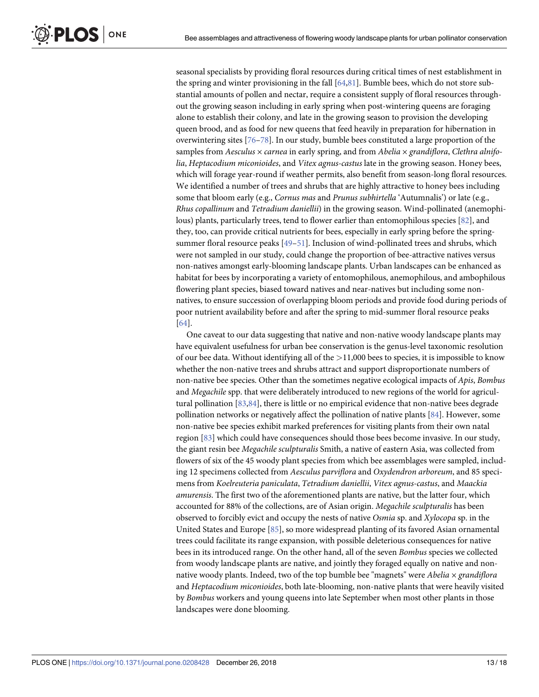<span id="page-12-0"></span>seasonal specialists by providing floral resources during critical times of nest establishment in the spring and winter provisioning in the fall [\[64](#page-16-0)[,81\]](#page-17-0). Bumble bees, which do not store substantial amounts of pollen and nectar, require a consistent supply of floral resources throughout the growing season including in early spring when post-wintering queens are foraging alone to establish their colony, and late in the growing season to provision the developing queen brood, and as food for new queens that feed heavily in preparation for hibernation in overwintering sites [\[76–78](#page-17-0)]. In our study, bumble bees constituted a large proportion of the samples from *Aesculus* × *carnea* in early spring, and from *Abelia* × *grandiflora*, *Clethra alnifolia*, *Heptacodium miconioides*, and *Vitex agnus-castus* late in the growing season. Honey bees, which will forage year-round if weather permits, also benefit from season-long floral resources. We identified a number of trees and shrubs that are highly attractive to honey bees including some that bloom early (e.g., *Cornus mas* and *Prunus subhirtella* 'Autumnalis') or late (e.g., *Rhus copallinum* and *Tetradium daniellii*) in the growing season. Wind-pollinated (anemophilous) plants, particularly trees, tend to flower earlier than entomophilous species [[82](#page-17-0)], and they, too, can provide critical nutrients for bees, especially in early spring before the springsummer floral resource peaks [[49–51\]](#page-16-0). Inclusion of wind-pollinated trees and shrubs, which were not sampled in our study, could change the proportion of bee-attractive natives versus non-natives amongst early-blooming landscape plants. Urban landscapes can be enhanced as habitat for bees by incorporating a variety of entomophilous, anemophilous, and ambophilous flowering plant species, biased toward natives and near-natives but including some nonnatives, to ensure succession of overlapping bloom periods and provide food during periods of poor nutrient availability before and after the spring to mid-summer floral resource peaks [\[64\]](#page-16-0).

One caveat to our data suggesting that native and non-native woody landscape plants may have equivalent usefulness for urban bee conservation is the genus-level taxonomic resolution of our bee data. Without identifying all of the *>*11,000 bees to species, it is impossible to know whether the non-native trees and shrubs attract and support disproportionate numbers of non-native bee species. Other than the sometimes negative ecological impacts of *Apis*, *Bombus* and *Megachile* spp. that were deliberately introduced to new regions of the world for agricultural pollination [\[83,84\]](#page-17-0), there is little or no empirical evidence that non-native bees degrade pollination networks or negatively affect the pollination of native plants [\[84\]](#page-17-0). However, some non-native bee species exhibit marked preferences for visiting plants from their own natal region [\[83\]](#page-17-0) which could have consequences should those bees become invasive. In our study, the giant resin bee *Megachile sculpturalis* Smith, a native of eastern Asia, was collected from flowers of six of the 45 woody plant species from which bee assemblages were sampled, including 12 specimens collected from *Aesculus parviflora* and *Oxydendron arboreum*, and 85 specimens from *Koelreuteria paniculata*, *Tetradium daniellii*, *Vitex agnus-castus*, and *Maackia amurensis*. The first two of the aforementioned plants are native, but the latter four, which accounted for 88% of the collections, are of Asian origin. *Megachile sculpturalis* has been observed to forcibly evict and occupy the nests of native *Osmia* sp. and *Xylocopa* sp. in the United States and Europe [\[85\]](#page-17-0), so more widespread planting of its favored Asian ornamental trees could facilitate its range expansion, with possible deleterious consequences for native bees in its introduced range. On the other hand, all of the seven *Bombus* species we collected from woody landscape plants are native, and jointly they foraged equally on native and nonnative woody plants. Indeed, two of the top bumble bee "magnets" were *Abelia × grandiflora* and *Heptacodium miconioides*, both late-blooming, non-native plants that were heavily visited by *Bombus* workers and young queens into late September when most other plants in those landscapes were done blooming.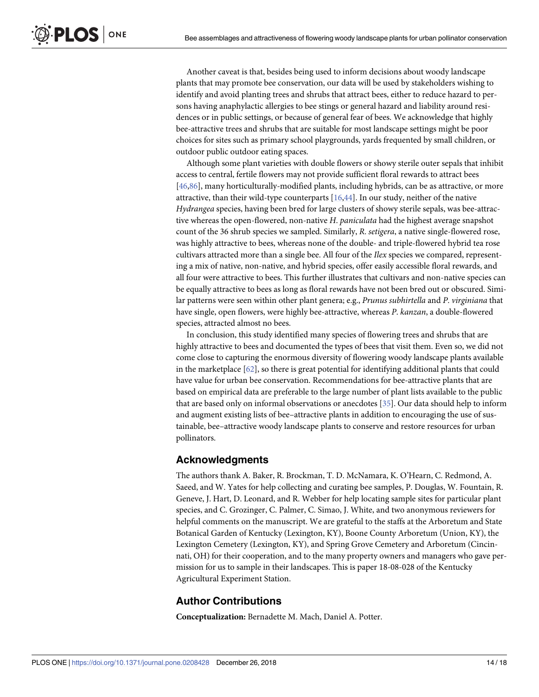<span id="page-13-0"></span>Another caveat is that, besides being used to inform decisions about woody landscape plants that may promote bee conservation, our data will be used by stakeholders wishing to identify and avoid planting trees and shrubs that attract bees, either to reduce hazard to persons having anaphylactic allergies to bee stings or general hazard and liability around residences or in public settings, or because of general fear of bees. We acknowledge that highly bee-attractive trees and shrubs that are suitable for most landscape settings might be poor choices for sites such as primary school playgrounds, yards frequented by small children, or outdoor public outdoor eating spaces.

Although some plant varieties with double flowers or showy sterile outer sepals that inhibit access to central, fertile flowers may not provide sufficient floral rewards to attract bees [\[46](#page-16-0)[,86\]](#page-17-0), many horticulturally-modified plants, including hybrids, can be as attractive, or more attractive, than their wild-type counterparts [\[16,](#page-14-0)[44](#page-16-0)]. In our study, neither of the native *Hydrangea* species, having been bred for large clusters of showy sterile sepals, was bee-attractive whereas the open-flowered, non-native *H*. *paniculata* had the highest average snapshot count of the 36 shrub species we sampled. Similarly, *R*. *setigera*, a native single-flowered rose, was highly attractive to bees, whereas none of the double- and triple-flowered hybrid tea rose cultivars attracted more than a single bee. All four of the *Ilex* species we compared, representing a mix of native, non-native, and hybrid species, offer easily accessible floral rewards, and all four were attractive to bees. This further illustrates that cultivars and non-native species can be equally attractive to bees as long as floral rewards have not been bred out or obscured. Similar patterns were seen within other plant genera; e.g., *Prunus subhirtella* and *P*. *virginiana* that have single, open flowers, were highly bee-attractive, whereas *P*. *kanzan*, a double-flowered species, attracted almost no bees.

In conclusion, this study identified many species of flowering trees and shrubs that are highly attractive to bees and documented the types of bees that visit them. Even so, we did not come close to capturing the enormous diversity of flowering woody landscape plants available in the marketplace [[62](#page-16-0)], so there is great potential for identifying additional plants that could have value for urban bee conservation. Recommendations for bee-attractive plants that are based on empirical data are preferable to the large number of plant lists available to the public that are based only on informal observations or anecdotes [\[35\]](#page-15-0). Our data should help to inform and augment existing lists of bee–attractive plants in addition to encouraging the use of sustainable, bee–attractive woody landscape plants to conserve and restore resources for urban pollinators.

# **Acknowledgments**

The authors thank A. Baker, R. Brockman, T. D. McNamara, K. O'Hearn, C. Redmond, A. Saeed, and W. Yates for help collecting and curating bee samples, P. Douglas, W. Fountain, R. Geneve, J. Hart, D. Leonard, and R. Webber for help locating sample sites for particular plant species, and C. Grozinger, C. Palmer, C. Simao, J. White, and two anonymous reviewers for helpful comments on the manuscript. We are grateful to the staffs at the Arboretum and State Botanical Garden of Kentucky (Lexington, KY), Boone County Arboretum (Union, KY), the Lexington Cemetery (Lexington, KY), and Spring Grove Cemetery and Arboretum (Cincinnati, OH) for their cooperation, and to the many property owners and managers who gave permission for us to sample in their landscapes. This is paper 18-08-028 of the Kentucky Agricultural Experiment Station.

# **Author Contributions**

**Conceptualization:** Bernadette M. Mach, Daniel A. Potter.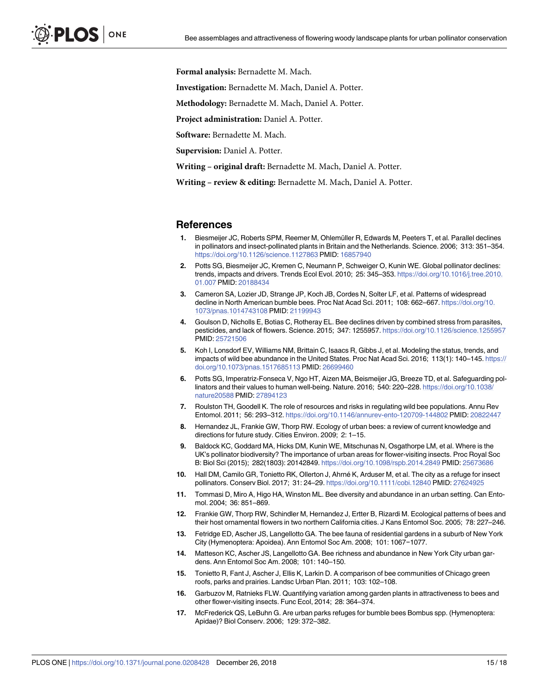<span id="page-14-0"></span>**Formal analysis:** Bernadette M. Mach.

**Investigation:** Bernadette M. Mach, Daniel A. Potter.

**Methodology:** Bernadette M. Mach, Daniel A. Potter.

**Project administration:** Daniel A. Potter.

**Software:** Bernadette M. Mach.

**Supervision:** Daniel A. Potter.

**Writing – original draft:** Bernadette M. Mach, Daniel A. Potter.

**Writing – review & editing:** Bernadette M. Mach, Daniel A. Potter.

#### **References**

- **[1](#page-0-0).** Biesmeijer JC, Roberts SPM, Reemer M, Ohlemüller R, Edwards M, Peeters T, et al. Parallel declines in pollinators and insect-pollinated plants in Britain and the Netherlands. Science. 2006; 313: 351–354. <https://doi.org/10.1126/science.1127863> PMID: [16857940](http://www.ncbi.nlm.nih.gov/pubmed/16857940)
- **2.** Potts SG, Biesmeijer JC, Kremen C, Neumann P, Schweiger O, Kunin WE. Global pollinator declines: trends, impacts and drivers. Trends Ecol Evol. 2010; 25: 345–353. [https://doi.org/10.1016/j.tree.2010.](https://doi.org/10.1016/j.tree.2010.01.007) [01.007](https://doi.org/10.1016/j.tree.2010.01.007) PMID: [20188434](http://www.ncbi.nlm.nih.gov/pubmed/20188434)
- **3.** Cameron SA, Lozier JD, Strange JP, Koch JB, Cordes N, Solter LF, et al. Patterns of widespread decline in North American bumble bees. Proc Nat Acad Sci. 2011; 108: 662–667. [https://doi.org/10.](https://doi.org/10.1073/pnas.1014743108) [1073/pnas.1014743108](https://doi.org/10.1073/pnas.1014743108) PMID: [21199943](http://www.ncbi.nlm.nih.gov/pubmed/21199943)
- **[4](#page-11-0).** Goulson D, Nicholls E, Botias C, Rotheray EL. Bee declines driven by combined stress from parasites, pesticides, and lack of flowers. Science. 2015; 347: 1255957. <https://doi.org/10.1126/science.1255957> PMID: [25721506](http://www.ncbi.nlm.nih.gov/pubmed/25721506)
- **[5](#page-0-0).** Koh I, Lonsdorf EV, Williams NM, Brittain C, Isaacs R, Gibbs J, et al. Modeling the status, trends, and impacts of wild bee abundance in the United States. Proc Nat Acad Sci. 2016; 113(1): 140–145. [https://](https://doi.org/10.1073/pnas.1517685113) [doi.org/10.1073/pnas.1517685113](https://doi.org/10.1073/pnas.1517685113) PMID: [26699460](http://www.ncbi.nlm.nih.gov/pubmed/26699460)
- **[6](#page-0-0).** Potts SG, Imperatriz-Fonseca V, Ngo HT, Aizen MA, Beismeijer JG, Breeze TD, et al. Safeguarding pollinators and their values to human well-being. Nature. 2016; 540: 220–228. [https://doi.org/10.1038/](https://doi.org/10.1038/nature20588) [nature20588](https://doi.org/10.1038/nature20588) PMID: [27894123](http://www.ncbi.nlm.nih.gov/pubmed/27894123)
- **[7](#page-0-0).** Roulston TH, Goodell K. The role of resources and risks in regulating wild bee populations. Annu Rev Entomol. 2011; 56: 293–312. <https://doi.org/10.1146/annurev-ento-120709-144802> PMID: [20822447](http://www.ncbi.nlm.nih.gov/pubmed/20822447)
- **[8](#page-0-0).** Hernandez JL, Frankie GW, Thorp RW. Ecology of urban bees: a review of current knowledge and directions for future study. Cities Environ. 2009; 2: 1–15.
- **9.** Baldock KC, Goddard MA, Hicks DM, Kunin WE, Mitschunas N, Osgathorpe LM, et al. Where is the UK's pollinator biodiversity? The importance of urban areas for flower-visiting insects. Proc Royal Soc B: Biol Sci (2015); 282(1803): 20142849. <https://doi.org/10.1098/rspb.2014.2849> PMID: [25673686](http://www.ncbi.nlm.nih.gov/pubmed/25673686)
- **[10](#page-0-0).** Hall DM, Camilo GR, Tonietto RK, Ollerton J, Ahrné K, Arduser M, et al. The city as a refuge for insect pollinators. Conserv Biol. 2017; 31: 24–29. <https://doi.org/10.1111/cobi.12840> PMID: [27624925](http://www.ncbi.nlm.nih.gov/pubmed/27624925)
- **[11](#page-0-0).** Tommasi D, Miro A, Higo HA, Winston ML. Bee diversity and abundance in an urban setting. Can Entomol. 2004; 36: 851–869.
- **[12](#page-1-0).** Frankie GW, Thorp RW, Schindler M, Hernandez J, Ertter B, Rizardi M. Ecological patterns of bees and their host ornamental flowers in two northern California cities. J Kans Entomol Soc. 2005; 78: 227–246.
- **[13](#page-11-0).** Fetridge ED, Ascher JS, Langellotto GA. The bee fauna of residential gardens in a suburb of New York City (Hymenoptera: Apoidea). Ann Entomol Soc Am. 2008; 101: 1067−1077.
- **[14](#page-11-0).** Matteson KC, Ascher JS, Langellotto GA. Bee richness and abundance in New York City urban gardens. Ann Entomol Soc Am. 2008; 101: 140–150.
- **15.** Tonietto R, Fant J, Ascher J, Ellis K, Larkin D. A comparison of bee communities of Chicago green roofs, parks and prairies. Landsc Urban Plan. 2011; 103: 102–108.
- **[16](#page-0-0).** Garbuzov M, Ratnieks FLW. Quantifying variation among garden plants in attractiveness to bees and other flower-visiting insects. Func Ecol, 2014; 28: 364–374.
- **[17](#page-0-0).** McFrederick QS, LeBuhn G. Are urban parks refuges for bumble bees Bombus spp. (Hymenoptera: Apidae)? Biol Conserv. 2006; 129: 372–382.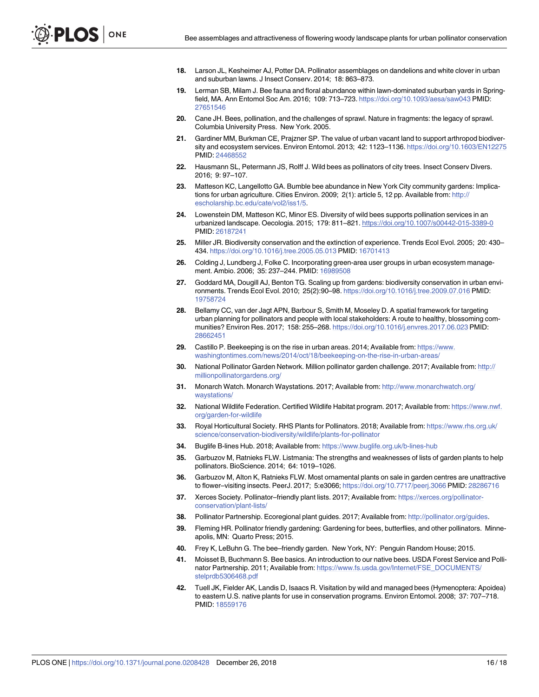- <span id="page-15-0"></span>**[18](#page-0-0).** Larson JL, Kesheimer AJ, Potter DA. Pollinator assemblages on dandelions and white clover in urban and suburban lawns. J Insect Conserv. 2014; 18: 863–873.
- **[19](#page-0-0).** Lerman SB, Milam J. Bee fauna and floral abundance within lawn-dominated suburban yards in Springfield, MA. Ann Entomol Soc Am. 2016; 109: 713–723. <https://doi.org/10.1093/aesa/saw043> PMID: [27651546](http://www.ncbi.nlm.nih.gov/pubmed/27651546)
- **[20](#page-1-0).** Cane JH. Bees, pollination, and the challenges of sprawl. Nature in fragments: the legacy of sprawl. Columbia University Press. New York. 2005.
- **21.** Gardiner MM, Burkman CE, Prajzner SP. The value of urban vacant land to support arthropod biodiversity and ecosystem services. Environ Entomol. 2013; 42: 1123–1136. <https://doi.org/10.1603/EN12275> PMID: [24468552](http://www.ncbi.nlm.nih.gov/pubmed/24468552)
- **[22](#page-1-0).** Hausmann SL, Petermann JS, Rolff J. Wild bees as pollinators of city trees. Insect Conserv Divers. 2016; 9: 97–107.
- **[23](#page-1-0).** Matteson KC, Langellotto GA. Bumble bee abundance in New York City community gardens: Implications for urban agriculture. Cities Environ. 2009; 2(1): article 5, 12 pp. Available from: [http://](http://escholarship.bc.edu/cate/vol2/iss1/5) [escholarship.bc.edu/cate/vol2/iss1/5.](http://escholarship.bc.edu/cate/vol2/iss1/5)
- **[24](#page-1-0).** Lowenstein DM, Matteson KC, Minor ES. Diversity of wild bees supports pollination services in an urbanized landscape. Oecologia. 2015; 179: 811–821. <https://doi.org/10.1007/s00442-015-3389-0> PMID: [26187241](http://www.ncbi.nlm.nih.gov/pubmed/26187241)
- **[25](#page-1-0).** Miller JR. Biodiversity conservation and the extinction of experience. Trends Ecol Evol. 2005; 20: 430– 434. <https://doi.org/10.1016/j.tree.2005.05.013> PMID: [16701413](http://www.ncbi.nlm.nih.gov/pubmed/16701413)
- **26.** Colding J, Lundberg J, Folke C. Incorporating green-area user groups in urban ecosystem management. Ambio. 2006; 35: 237–244. PMID: [16989508](http://www.ncbi.nlm.nih.gov/pubmed/16989508)
- **27.** Goddard MA, Dougill AJ, Benton TG. Scaling up from gardens: biodiversity conservation in urban environments. Trends Ecol Evol. 2010; 25(2):90–98. <https://doi.org/10.1016/j.tree.2009.07.016> PMID: [19758724](http://www.ncbi.nlm.nih.gov/pubmed/19758724)
- **[28](#page-1-0).** Bellamy CC, van der Jagt APN, Barbour S, Smith M, Moseley D. A spatial framework for targeting urban planning for pollinators and people with local stakeholders: A route to healthy, blossoming communities? Environ Res. 2017; 158: 255–268. <https://doi.org/10.1016/j.envres.2017.06.023> PMID: [28662451](http://www.ncbi.nlm.nih.gov/pubmed/28662451)
- **[29](#page-1-0).** Castillo P. Beekeeping is on the rise in urban areas. 2014; Available from: [https://www.](https://www.washingtontimes.com/news/2014/oct/18/beekeeping-on-the-rise-in-urban-areas/) [washingtontimes.com/news/2014/oct/18/beekeeping-on-the-rise-in-urban-areas/](https://www.washingtontimes.com/news/2014/oct/18/beekeeping-on-the-rise-in-urban-areas/)
- **[30](#page-1-0).** National Pollinator Garden Network. Million pollinator garden challenge. 2017; Available from: [http://](http://millionpollinatorgardens.org/) [millionpollinatorgardens.org/](http://millionpollinatorgardens.org/)
- **[31](#page-1-0).** Monarch Watch. Monarch Waystations. 2017; Available from: [http://www.monarchwatch.org/](http://www.monarchwatch.org/waystations/) [waystations/](http://www.monarchwatch.org/waystations/)
- **[32](#page-1-0).** National Wildlife Federation. Certified Wildlife Habitat program. 2017; Available from: [https://www.nwf.](https://www.nwf.org/garden-for-wildlife) [org/garden-for-wildlife](https://www.nwf.org/garden-for-wildlife)
- **[33](#page-1-0).** Royal Horticultural Society. RHS Plants for Pollinators. 2018; Available from: [https://www.rhs.org.uk/](https://www.rhs.org.uk/science/conservation-biodiversity/wildlife/plants-for-pollinator) [science/conservation-biodiversity/wildlife/plants-for-pollinator](https://www.rhs.org.uk/science/conservation-biodiversity/wildlife/plants-for-pollinator)
- **[34](#page-1-0).** Buglife B-lines Hub. 2018; Available from: <https://www.buglife.org.uk/b-lines-hub>
- **[35](#page-1-0).** Garbuzov M, Ratnieks FLW. Listmania: The strengths and weaknesses of lists of garden plants to help pollinators. BioScience. 2014; 64: 1019–1026.
- **[36](#page-1-0).** Garbuzov M, Alton K, Ratnieks FLW. Most ornamental plants on sale in garden centres are unattractive to flower–visiting insects. PeerJ. 2017; 5:e3066; <https://doi.org/10.7717/peerj.3066> PMID: [28286716](http://www.ncbi.nlm.nih.gov/pubmed/28286716)
- **[37](#page-1-0).** Xerces Society. Pollinator–friendly plant lists. 2017; Available from: [https://xerces.org/pollinator](https://xerces.org/pollinator-conservation/plant-lists/)[conservation/plant-lists/](https://xerces.org/pollinator-conservation/plant-lists/)
- **[38](#page-1-0).** Pollinator Partnership. Ecoregional plant guides. 2017; Available from: <http://pollinator.org/guides>.
- **[39](#page-1-0).** Fleming HR. Pollinator friendly gardening: Gardening for bees, butterflies, and other pollinators. Minneapolis, MN: Quarto Press; 2015.
- **[40](#page-1-0).** Frey K, LeBuhn G. The bee–friendly garden. New York, NY: Penguin Random House; 2015.
- **[41](#page-1-0).** Moisset B, Buchmann S. Bee basics. An introduction to our native bees. USDA Forest Service and Pollinator Partnership. 2011; Available from: [https://www.fs.usda.gov/Internet/FSE\\_DOCUMENTS/](https://www.fs.usda.gov/Internet/FSE_DOCUMENTS/stelprdb5306468.pdf) [stelprdb5306468.pdf](https://www.fs.usda.gov/Internet/FSE_DOCUMENTS/stelprdb5306468.pdf)
- **[42](#page-1-0).** Tuell JK, Fielder AK, Landis D, Isaacs R. Visitation by wild and managed bees (Hymenoptera: Apoidea) to eastern U.S. native plants for use in conservation programs. Environ Entomol. 2008; 37: 707–718. PMID: [18559176](http://www.ncbi.nlm.nih.gov/pubmed/18559176)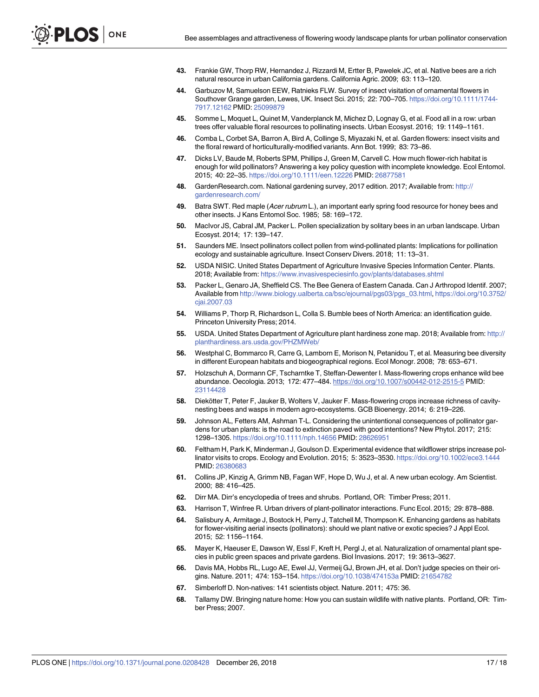- <span id="page-16-0"></span>**[43](#page-1-0).** Frankie GW, Thorp RW, Hernandez J, Rizzardi M, Ertter B, Pawelek JC, et al. Native bees are a rich natural resource in urban California gardens. California Agric. 2009; 63: 113–120.
- **[44](#page-1-0).** Garbuzov M, Samuelson EEW, Ratnieks FLW. Survey of insect visitation of ornamental flowers in Southover Grange garden, Lewes, UK. Insect Sci. 2015; 22: 700–705. [https://doi.org/10.1111/1744-](https://doi.org/10.1111/1744-7917.12162) [7917.12162](https://doi.org/10.1111/1744-7917.12162) PMID: [25099879](http://www.ncbi.nlm.nih.gov/pubmed/25099879)
- **[45](#page-1-0).** Somme L, Moquet L, Quinet M, Vanderplanck M, Michez D, Lognay G, et al. Food all in a row: urban trees offer valuable floral resources to pollinating insects. Urban Ecosyst. 2016; 19: 1149–1161.
- **[46](#page-1-0).** Comba L, Corbet SA, Barron A, Bird A, Collinge S, Miyazaki N, et al. Garden flowers: insect visits and the floral reward of horticulturally-modified variants. Ann Bot. 1999; 83: 73–86.
- **[47](#page-1-0).** Dicks LV, Baude M, Roberts SPM, Phillips J, Green M, Carvell C. How much flower-rich habitat is enough for wild pollinators? Answering a key policy question with incomplete knowledge. Ecol Entomol. 2015; 40: 22–35. <https://doi.org/10.1111/een.12226> PMID: [26877581](http://www.ncbi.nlm.nih.gov/pubmed/26877581)
- **[48](#page-1-0).** GardenResearch.com. National gardening survey, 2017 edition. 2017; Available from: [http://](http://gardenresearch.com/) [gardenresearch.com/](http://gardenresearch.com/)
- **[49](#page-1-0).** Batra SWT. Red maple (Acer rubrum L.), an important early spring food resource for honey bees and other insects. J Kans Entomol Soc. 1985; 58: 169–172.
- **50.** MacIvor JS, Cabral JM, Packer L. Pollen specialization by solitary bees in an urban landscape. Urban Ecosyst. 2014; 17: 139–147.
- **[51](#page-1-0).** Saunders ME. Insect pollinators collect pollen from wind-pollinated plants: Implications for pollination ecology and sustainable agriculture. Insect Conserv Divers. 2018; 11: 13–31.
- **[52](#page-2-0).** USDA NISIC. United States Department of Agriculture Invasive Species Information Center. Plants. 2018; Available from: <https://www.invasivespeciesinfo.gov/plants/databases.shtml>
- **[53](#page-5-0).** Packer L, Genaro JA, Sheffield CS. The Bee Genera of Eastern Canada. Can J Arthropod Identif. 2007; Available from [http://www.biology.ualberta.ca/bsc/ejournal/pgs03/pgs\\_03.html,](http://www.biology.ualberta.ca/bsc/ejournal/pgs03/pgs_03.html) [https://doi.org/10.3752/](https://doi.org/10.3752/cjai.2007.03) [cjai.2007.03](https://doi.org/10.3752/cjai.2007.03)
- **[54](#page-5-0).** Williams P, Thorp R, Richardson L, Colla S. Bumble bees of North America: an identification guide. Princeton University Press; 2014.
- **[55](#page-10-0).** USDA. United States Department of Agriculture plant hardiness zone map. 2018; Available from: [http://](http://planthardiness.ars.usda.gov/PHZMWeb/) [planthardiness.ars.usda.gov/PHZMWeb/](http://planthardiness.ars.usda.gov/PHZMWeb/)
- **[56](#page-10-0).** Westphal C, Bommarco R, Carre G, Lamborn E, Morison N, Petanidou T, et al. Measuring bee diversity in different European habitats and biogeographical regions. Ecol Monogr. 2008; 78: 653–671.
- **[57](#page-11-0).** Holzschuh A, Dormann CF, Tscharntke T, Steffan-Dewenter I. Mass-flowering crops enhance wild bee abundance. Oecologia. 2013; 172: 477–484. <https://doi.org/10.1007/s00442-012-2515-5> PMID: [23114428](http://www.ncbi.nlm.nih.gov/pubmed/23114428)
- **[58](#page-11-0).** Diekötter T, Peter F, Jauker B, Wolters V, Jauker F. Mass-flowering crops increase richness of cavitynesting bees and wasps in modern agro-ecosystems. GCB Bioenergy. 2014; 6: 219–226.
- **[59](#page-11-0).** Johnson AL, Fetters AM, Ashman T-L. Considering the unintentional consequences of pollinator gardens for urban plants: is the road to extinction paved with good intentions? New Phytol. 2017; 215: 1298–1305. <https://doi.org/10.1111/nph.14656> PMID: [28626951](http://www.ncbi.nlm.nih.gov/pubmed/28626951)
- **[60](#page-11-0).** Feltham H, Park K, Minderman J, Goulson D. Experimental evidence that wildflower strips increase pollinator visits to crops. Ecology and Evolution. 2015; 5: 3523–3530. <https://doi.org/10.1002/ece3.1444> PMID: [26380683](http://www.ncbi.nlm.nih.gov/pubmed/26380683)
- **[61](#page-11-0).** Collins JP, Kinzig A, Grimm NB, Fagan WF, Hope D, Wu J, et al. A new urban ecology. Am Scientist. 2000; 88: 416–425.
- **[62](#page-13-0).** Dirr MA. Dirr's encyclopedia of trees and shrubs. Portland, OR: Timber Press; 2011.
- **[63](#page-11-0).** Harrison T, Winfree R. Urban drivers of plant-pollinator interactions. Func Ecol. 2015; 29: 878–888.
- **[64](#page-11-0).** Salisbury A, Armitage J, Bostock H, Perry J, Tatchell M, Thompson K. Enhancing gardens as habitats for flower-visiting aerial insects (pollinators): should we plant native or exotic species? J Appl Ecol. 2015; 52: 1156–1164.
- **[65](#page-11-0).** Mayer K, Haeuser E, Dawson W, Essl F, Kreft H, Pergl J, et al. Naturalization of ornamental plant species in public green spaces and private gardens. Biol Invasions. 2017; 19: 3613–3627.
- **[66](#page-11-0).** Davis MA, Hobbs RL, Lugo AE, Ewel JJ, Vermeij GJ, Brown JH, et al. Don't judge species on their origins. Nature. 2011; 474: 153–154. <https://doi.org/10.1038/474153a> PMID: [21654782](http://www.ncbi.nlm.nih.gov/pubmed/21654782)
- **[67](#page-11-0).** Simberloff D. Non-natives: 141 scientists object. Nature. 2011; 475: 36.
- **[68](#page-11-0).** Tallamy DW. Bringing nature home: How you can sustain wildlife with native plants. Portland, OR: Timber Press; 2007.